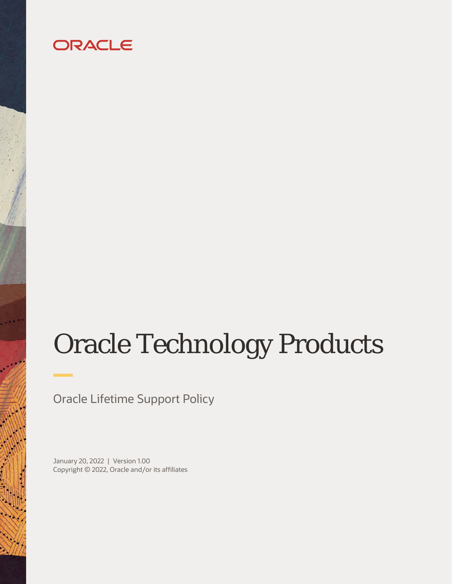## ORACLE

# Oracle Technology Products

Oracle Lifetime Support Policy

January 20, 2022 | Version 1.00 Copyright © 2022, Oracle and/or its affiliates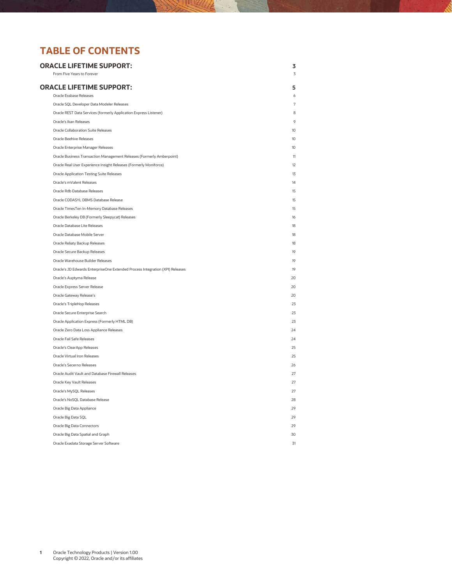## **TABLE OF CONTENTS**

| <b>ORACLE LIFETIME SUPPORT:</b><br>From Five Years to Forever                 | 3<br>$\overline{3}$ |
|-------------------------------------------------------------------------------|---------------------|
|                                                                               |                     |
| <b>ORACLE LIFETIME SUPPORT:</b><br>Oracle Essbase Releases                    | 5<br>6              |
| Oracle SQL Developer Data Modeler Releases                                    | 7                   |
| Oracle REST Data Services (formerly Application Express Listener)             | 8                   |
| Oracle's Ikan Releases                                                        | $\circ$             |
| Oracle Collaboration Suite Releases                                           | 10                  |
| <b>Oracle Beehive Releases</b>                                                | 10                  |
| Oracle Enterprise Manager Releases                                            | 10 <sup>10</sup>    |
| Oracle Business Transaction Management Releases (Formerly Amberpoint)         | 11                  |
| Oracle Real User Experience Insight Releases (Formerly Moniforce)             | 12                  |
| <b>Oracle Application Testing Suite Releases</b>                              | 13                  |
| Oracle's mValent Releases                                                     | 14                  |
| Oracle Rdb Database Releases                                                  | 15                  |
| Oracle CODASYL DBMS Database Release                                          | 15                  |
| Oracle Times Ten In-Memory Database Releases                                  | 15                  |
| Oracle Berkeley DB (Formerly Sleepycat) Releases                              | 16                  |
| Oracle Database Lite Releases                                                 | 18                  |
| Oracle Database Mobile Server                                                 | 18                  |
| Oracle Reliaty Backup Releases                                                | 18                  |
| Oracle Secure Backup Releases                                                 | 19                  |
| Oracle Warehouse Builder Releases                                             | 19                  |
| Oracle's JD Edwards EnterpriseOne Extended Process Integration (XPI) Releases | 1Q                  |
| Oracle's Auptyma Release                                                      | 20                  |
| Oracle Express Server Release                                                 | 20                  |
| Oracle Gateway Release's                                                      | 20                  |
| Oracle's TripleHop Releases                                                   | 23                  |
| Oracle Secure Enterprise Search                                               | 23                  |
| Oracle Application Express (Formerly HTML DB)                                 | 23                  |
| Oracle Zero Data Loss Appliance Releases                                      | 24                  |
| Oracle Fail Safe Releases                                                     | 24                  |
| Oracle's ClearApp Releases                                                    | 25                  |
| Oracle Virtual Iron Releases                                                  | 25                  |
| Oracle's Secerno Releases                                                     | 26                  |
| Oracle Audit Vault and Database Firewall Releases                             | 27                  |
| Oracle Key Vault Releases                                                     | 27                  |
| Oracle's MySQL Releases                                                       | 27                  |
| Oracle's NoSOL Database Release                                               | 28                  |
| Oracle Big Data Appliance                                                     | 29                  |
| Oracle Big Data SQL                                                           | 29                  |
| Oracle Big Data Connectors                                                    | 29                  |
| Oracle Big Data Spatial and Graph                                             | 30                  |
| Oracle Exadata Storage Server Software                                        | 31                  |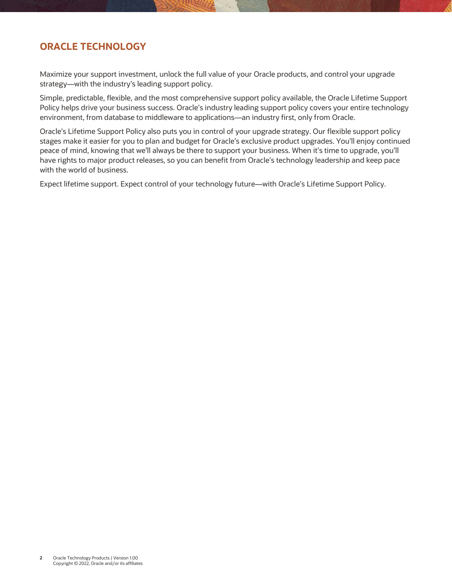## **ORACLE TECHNOLOGY**

Maximize your support investment, unlock the full value of your Oracle products, and control your upgrade strategy—with the industry's leading support policy.

Simple, predictable, flexible, and the most comprehensive support policy available, the Oracle Lifetime Support Policy helps drive your business success. Oracle's industry leading support policy covers your entire technology environment, from database to middleware to applications—an industry first, only from Oracle.

Oracle's Lifetime Support Policy also puts you in control of your upgrade strategy. Our flexible support policy stages make it easier for you to plan and budget for Oracle's exclusive product upgrades. You'll enjoy continued peace of mind, knowing that we'll always be there to support your business. When it's time to upgrade, you'll have rights to major product releases, so you can benefit from Oracle's technology leadership and keep pace with the world of business.

Expect lifetime support. Expect control of your technology future—with Oracle's Lifetime Support Policy.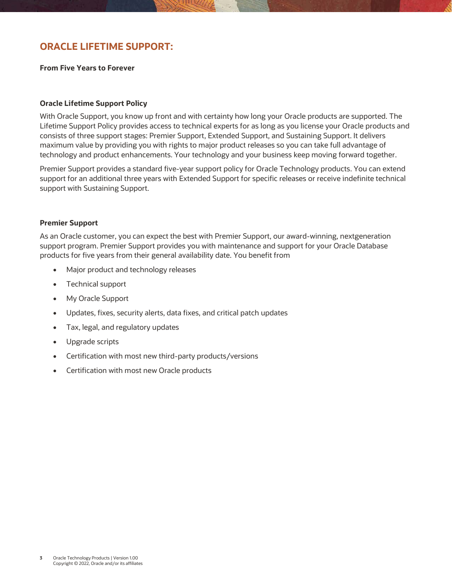## <span id="page-3-0"></span>**ORACLE LIFETIME SUPPORT:**

<span id="page-3-1"></span>**From Five Years to Forever**

#### **Oracle Lifetime Support Policy**

With Oracle Support, you know up front and with certainty how long your Oracle products are supported. The Lifetime Support Policy provides access to technical experts for as long as you license your Oracle products and consists of three support stages: Premier Support, Extended Support, and Sustaining Support. It delivers maximum value by providing you with rights to major product releases so you can take full advantage of technology and product enhancements. Your technology and your business keep moving forward together.

Premier Support provides a standard five-year support policy for Oracle Technology products. You can extend support for an additional three years with Extended Support for specific releases or receive indefinite technical support with Sustaining Support.

#### **Premier Support**

As an Oracle customer, you can expect the best with Premier Support, our award-winning, nextgeneration support program. Premier Support provides you with maintenance and support for your Oracle Database products for five years from their general availability date. You benefit from

- Major product and technology releases
- Technical support
- My Oracle Support
- Updates, fixes, security alerts, data fixes, and critical patch updates
- Tax, legal, and regulatory updates
- Upgrade scripts
- Certification with most new third-party products/versions
- Certification with most new Oracle products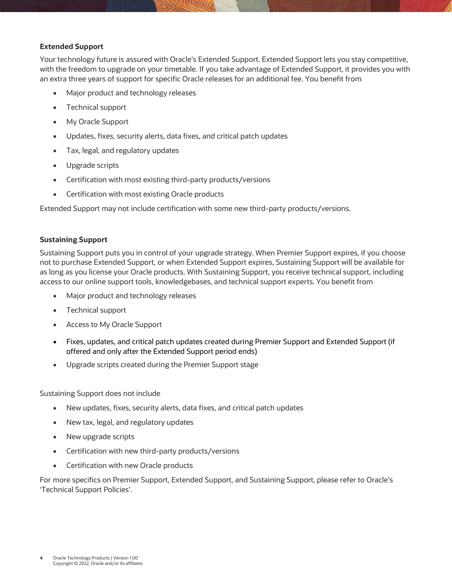#### **Extended Support**

Your technology future is assured with Oracle's Extended Support. Extended Support lets you stay competitive, with the freedom to upgrade on your timetable. If you take advantage of Extended Support, it provides you with an extra three years of support for specific Oracle releases for an additional fee. You benefit from

- Major product and technology releases
- Technical support
- My Oracle Support
- Updates, fixes, security alerts, data fixes, and critical patch updates
- Tax, legal, and regulatory updates
- Upgrade scripts
- Certification with most existing third-party products/versions
- Certification with most existing Oracle products

Extended Support may not include certification with some new third-party products/versions.

#### **Sustaining Support**

Sustaining Support puts you in control of your upgrade strategy. When Premier Support expires, if you choose not to purchase Extended Support, or when Extended Support expires, Sustaining Support will be available for as long as you license your Oracle products. With Sustaining Support, you receive technical support, including access to our online support tools, knowledgebases, and technical support experts. You benefit from

- Major product and technology releases
- Technical support
- Access to My Oracle Support
- Fixes, updates, and critical patch updates created during Premier Support and Extended Support (if offered and only after the Extended Support period ends)
- Upgrade scripts created during the Premier Support stage

Sustaining Support does not include

- New updates, fixes, security alerts, data fixes, and critical patch updates
- New tax, legal, and regulatory updates
- New upgrade scripts
- Certification with new third-party products/versions
- Certification with new Oracle products

For more specifics on Premier Support, Extended Support, and Sustaining Support, please refer to Oracle's 'Technical Support Policies'.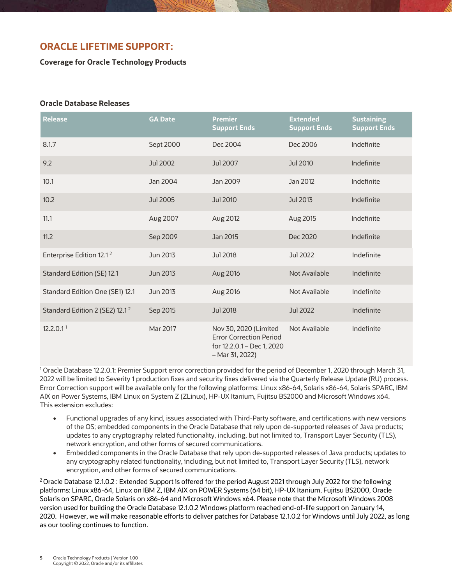## <span id="page-5-0"></span>**ORACLE LIFETIME SUPPORT:**

**Coverage for Oracle Technology Products**

#### **Oracle Database Releases**

| <b>Release</b>                             | <b>GA Date</b>  | <b>Premier</b><br><b>Support Ends</b>                                                                    | <b>Extended</b><br><b>Support Ends</b> | <b>Sustaining</b><br><b>Support Ends</b> |
|--------------------------------------------|-----------------|----------------------------------------------------------------------------------------------------------|----------------------------------------|------------------------------------------|
| 8.1.7                                      | Sept 2000       | Dec 2004                                                                                                 | Dec 2006                               | Indefinite                               |
| 9.2                                        | <b>Jul 2002</b> | Jul 2007                                                                                                 | <b>Jul 2010</b>                        | Indefinite                               |
| 10.1                                       | Jan 2004        | Jan 2009                                                                                                 | Jan 2012                               | Indefinite                               |
| 10.2                                       | <b>Jul 2005</b> | Jul 2010                                                                                                 | <b>Jul 2013</b>                        | Indefinite                               |
| 11.1                                       | Aug 2007        | Aug 2012                                                                                                 | Aug 2015                               | Indefinite                               |
| 11.2                                       | Sep 2009        | Jan 2015                                                                                                 | Dec 2020                               | Indefinite                               |
| Enterprise Edition 12.1 <sup>2</sup>       | Jun 2013        | Jul 2018                                                                                                 | Jul 2022                               | Indefinite                               |
| Standard Edition (SE) 12.1                 | Jun 2013        | Aug 2016                                                                                                 | <b>Not Available</b>                   | Indefinite                               |
| Standard Edition One (SE1) 12.1            | Jun 2013        | Aug 2016                                                                                                 | Not Available                          | Indefinite                               |
| Standard Edition 2 (SE2) 12.1 <sup>2</sup> | Sep 2015        | <b>Jul 2018</b>                                                                                          | <b>Jul 2022</b>                        | Indefinite                               |
| 12.2.0.1 <sup>1</sup>                      | Mar 2017        | Nov 30, 2020 (Limited<br><b>Error Correction Period</b><br>for 12.2.0.1 - Dec 1, 2020<br>$-Mar 31, 2022$ | Not Available                          | Indefinite                               |

<sup>1</sup> Oracle Database 12.2.0.1: Premier Support error correction provided for the period of December 1, 2020 through March 31, 2022 will be limited to Severity 1 production fixes and security fixes delivered via the Quarterly Release Update (RU) process. Error Correction support will be available only for the following platforms: Linux x86-64, Solaris x86-64, Solaris SPARC, IBM AIX on Power Systems, IBM Linux on System Z (ZLinux), HP-UX Itanium, Fujitsu BS2000 and Microsoft Windows x64. This extension excludes:

- Functional upgrades of any kind, issues associated with Third-Party software, and certifications with new versions of the OS; embedded components in the Oracle Database that rely upon de-supported releases of Java products; updates to any cryptography related functionality, including, but not limited to, Transport Layer Security (TLS), network encryption, and other forms of secured communications.
- Embedded components in the Oracle Database that rely upon de-supported releases of Java products; updates to any cryptography related functionality, including, but not limited to, Transport Layer Security (TLS), network encryption, and other forms of secured communications.

<sup>2</sup> Oracle Database 12.1.0.2 : Extended Support is offered for the period August 2021 through July 2022 for the following platforms: Linux x86-64, Linux on IBM Z, IBM AIX on POWER Systems (64 bit), HP-UX Itanium, Fujitsu BS2000, Oracle Solaris on SPARC, Oracle Solaris on x86-64 and Microsoft Windows x64. Please note that the Microsoft Windows 2008 version used for building the Oracle Database 12.1.0.2 Windows platform reached end-of-life support on January 14, 2020. However, we will make reasonable efforts to deliver patches for Database 12.1.0.2 for Windows until July 2022, as long as our tooling continues to function.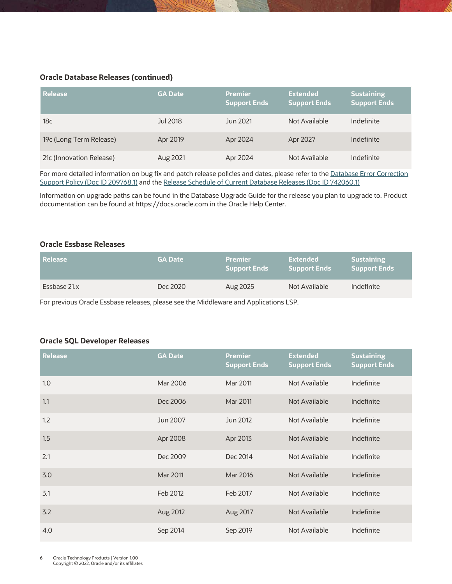#### **Oracle Database Releases (continued)**

| <b>Release</b>           | <b>GA Date</b> | <b>Premier</b><br>Support Ends | <b>Extended</b><br>Support Ends | <b>Sustaining</b><br><b>Support Ends</b> |
|--------------------------|----------------|--------------------------------|---------------------------------|------------------------------------------|
| 18 <sub>c</sub>          | Jul 2018       | Jun 2021                       | Not Available                   | Indefinite                               |
| 19c (Long Term Release)  | Apr 2019       | Apr 2024                       | Apr 2027                        | Indefinite                               |
| 21c (Innovation Release) | Aug 2021       | Apr 2024                       | Not Available                   | Indefinite                               |

For more detailed information on bug fix and patch release policies and dates, please refer to th[e Database Error Correction](https://support.oracle.com/rs?type=doc&id=209768.1) [Support Policy \(Doc ID 209768.1\)](https://support.oracle.com/rs?type=doc&id=209768.1) and th[e Release Schedule of Current Database Releases \(Doc ID 742060.1\)](https://support.oracle.com/rs?type=doc&id=742060.1) 

Information on upgrade paths can be found in the Database Upgrade Guide for the release you plan to upgrade to. Product documentation can be found at https://docs.oracle.com in the Oracle Help Center.

#### <span id="page-6-0"></span>**Oracle Essbase Releases**

| <b>Release</b> | <b>GA Date</b> | <b>Premier</b><br><b>Support Ends</b> | Extended<br><b>Support Ends</b> | <b>Sustaining</b><br><b>Support Ends</b> |
|----------------|----------------|---------------------------------------|---------------------------------|------------------------------------------|
| Essbase 21.x   | Dec 2020       | Aug 2025                              | Not Available                   | Indefinite                               |

For previous Oracle Essbase releases, please see the Middleware and Applications LSP.

#### **Oracle SQL Developer Releases**

| <b>Release</b> | <b>GA Date</b> | <b>Premier</b><br><b>Support Ends</b> | <b>Extended</b><br><b>Support Ends</b> | <b>Sustaining</b><br><b>Support Ends</b> |
|----------------|----------------|---------------------------------------|----------------------------------------|------------------------------------------|
| 1.0            | Mar 2006       | Mar 2011                              | Not Available                          | Indefinite                               |
| 1.1            | Dec 2006       | Mar 2011                              | Not Available                          | Indefinite                               |
| 1.2            | Jun 2007       | Jun 2012                              | Not Available                          | Indefinite                               |
| 1.5            | Apr 2008       | Apr 2013                              | Not Available                          | Indefinite                               |
| 2.1            | Dec 2009       | Dec 2014                              | Not Available                          | Indefinite                               |
| 3.0            | Mar 2011       | Mar 2016                              | Not Available                          | Indefinite                               |
| 3.1            | Feb 2012       | Feb 2017                              | Not Available                          | Indefinite                               |
| 3.2            | Aug 2012       | Aug 2017                              | Not Available                          | Indefinite                               |
| 4.0            | Sep 2014       | Sep 2019                              | Not Available                          | Indefinite                               |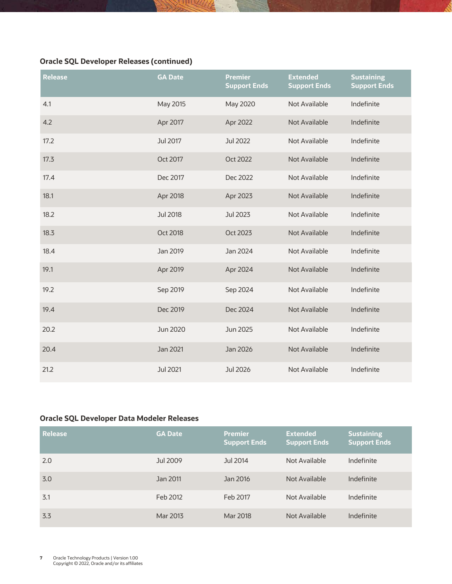## **Oracle SQL Developer Releases (continued)**

| <b>Release</b> | <b>GA Date</b>  | <b>Premier</b><br><b>Support Ends</b> | <b>Extended</b><br><b>Support Ends</b> | <b>Sustaining</b><br><b>Support Ends</b> |
|----------------|-----------------|---------------------------------------|----------------------------------------|------------------------------------------|
| 4.1            | May 2015        | May 2020                              | Not Available                          | Indefinite                               |
| 4.2            | Apr 2017        | Apr 2022                              | <b>Not Available</b>                   | Indefinite                               |
| 17.2           | Jul 2017        | <b>Jul 2022</b>                       | Not Available                          | Indefinite                               |
| 17.3           | Oct 2017        | Oct 2022                              | <b>Not Available</b>                   | Indefinite                               |
| 17.4           | Dec 2017        | Dec 2022                              | Not Available                          | Indefinite                               |
| 18.1           | Apr 2018        | Apr 2023                              | Not Available                          | Indefinite                               |
| 18.2           | <b>Jul 2018</b> | Jul 2023                              | Not Available                          | Indefinite                               |
| 18.3           | Oct 2018        | Oct 2023                              | Not Available                          | Indefinite                               |
| 18.4           | Jan 2019        | Jan 2024                              | Not Available                          | Indefinite                               |
| 19.1           | Apr 2019        | Apr 2024                              | Not Available                          | Indefinite                               |
| 19.2           | Sep 2019        | Sep 2024                              | Not Available                          | Indefinite                               |
| 19.4           | Dec 2019        | Dec 2024                              | <b>Not Available</b>                   | Indefinite                               |
| 20.2           | Jun 2020        | Jun 2025                              | Not Available                          | Indefinite                               |
| 20.4           | Jan 2021        | Jan 2026                              | Not Available                          | Indefinite                               |
| 21.2           | Jul 2021        | <b>Jul 2026</b>                       | Not Available                          | Indefinite                               |

## <span id="page-7-0"></span>**Oracle SQL Developer Data Modeler Releases**

| Release | <b>GA Date</b> | <b>Premier</b><br>Support Ends | <b>Extended</b><br><b>Support Ends</b> | <b>Sustaining</b><br><b>Support Ends</b> |
|---------|----------------|--------------------------------|----------------------------------------|------------------------------------------|
| 2.0     | Jul 2009       | Jul 2014                       | Not Available                          | Indefinite                               |
| 3.0     | Jan 2011       | Jan 2016                       | Not Available                          | Indefinite                               |
| 3.1     | Feb 2012       | Feb 2017                       | Not Available                          | Indefinite                               |
| 3.3     | Mar 2013       | Mar 2018                       | Not Available                          | Indefinite                               |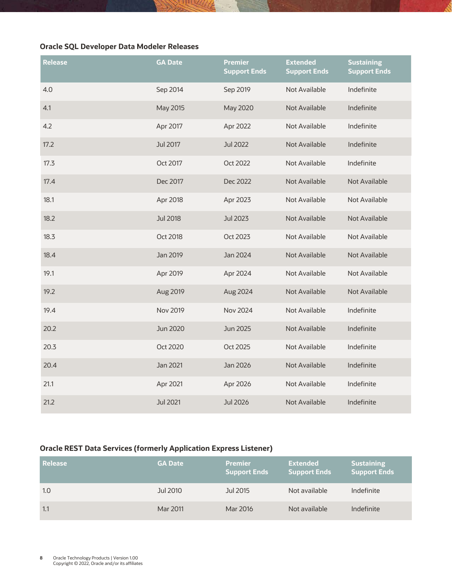#### **Oracle SQL Developer Data Modeler Releases**

| <b>Release</b> | <b>GA Date</b>  | <b>Premier</b><br><b>Support Ends</b> | <b>Extended</b><br><b>Support Ends</b> | <b>Sustaining</b><br><b>Support Ends</b> |
|----------------|-----------------|---------------------------------------|----------------------------------------|------------------------------------------|
| 4.0            | Sep 2014        | Sep 2019                              | Not Available                          | Indefinite                               |
| 4.1            | May 2015        | May 2020                              | Not Available                          | Indefinite                               |
| 4.2            | Apr 2017        | Apr 2022                              | Not Available                          | Indefinite                               |
| 17.2           | <b>Jul 2017</b> | <b>Jul 2022</b>                       | Not Available                          | Indefinite                               |
| 17.3           | Oct 2017        | Oct 2022                              | Not Available                          | Indefinite                               |
| 17.4           | Dec 2017        | Dec 2022                              | Not Available                          | <b>Not Available</b>                     |
| 18.1           | Apr 2018        | Apr 2023                              | Not Available                          | Not Available                            |
| 18.2           | <b>Jul 2018</b> | Jul 2023                              | Not Available                          | <b>Not Available</b>                     |
| 18.3           | Oct 2018        | Oct 2023                              | Not Available                          | Not Available                            |
| 18.4           | Jan 2019        | Jan 2024                              | Not Available                          | <b>Not Available</b>                     |
| 19.1           | Apr 2019        | Apr 2024                              | Not Available                          | Not Available                            |
| 19.2           | Aug 2019        | Aug 2024                              | Not Available                          | <b>Not Available</b>                     |
| 19.4           | <b>Nov 2019</b> | <b>Nov 2024</b>                       | Not Available                          | Indefinite                               |
| 20.2           | Jun 2020        | Jun 2025                              | Not Available                          | Indefinite                               |
| 20.3           | Oct 2020        | Oct 2025                              | Not Available                          | Indefinite                               |
| 20.4           | Jan 2021        | Jan 2026                              | Not Available                          | Indefinite                               |
| 21.1           | Apr 2021        | Apr 2026                              | Not Available                          | Indefinite                               |
| 21.2           | <b>Jul 2021</b> | <b>Jul 2026</b>                       | <b>Not Available</b>                   | Indefinite                               |

#### <span id="page-8-0"></span>**Oracle REST Data Services (formerly Application Express Listener)**

| Release | <b>GA Date</b> | <b>Premier</b><br><b>Support Ends</b> | <b>Extended</b><br><b>Support Ends</b> | <b>Sustaining</b><br><b>Support Ends</b> |
|---------|----------------|---------------------------------------|----------------------------------------|------------------------------------------|
| 1.0     | Jul 2010       | Jul 2015                              | Not available                          | Indefinite                               |
| 1.1     | Mar 2011       | Mar 2016                              | Not available                          | Indefinite                               |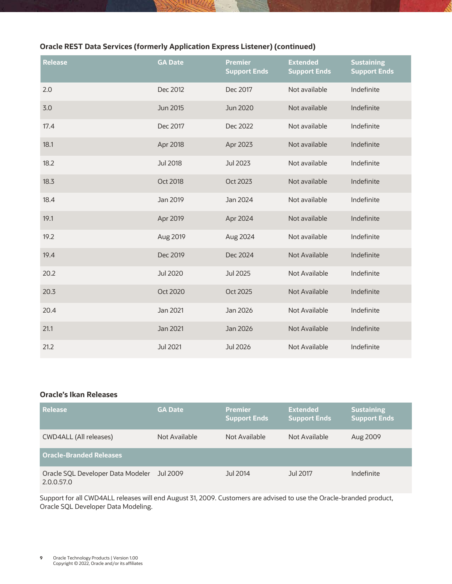## **Oracle REST Data Services (formerly Application Express Listener) (continued)**

| <b>Release</b> | <b>GA Date</b>  | <b>Premier</b><br><b>Support Ends</b> | <b>Extended</b><br><b>Support Ends</b> | <b>Sustaining</b><br><b>Support Ends</b> |
|----------------|-----------------|---------------------------------------|----------------------------------------|------------------------------------------|
| 2.0            | Dec 2012        | Dec 2017                              | Not available                          | Indefinite                               |
| 3.0            | Jun 2015        | Jun 2020                              | Not available                          | Indefinite                               |
| 17.4           | Dec 2017        | Dec 2022                              | Not available                          | Indefinite                               |
| 18.1           | Apr 2018        | Apr 2023                              | Not available                          | Indefinite                               |
| 18.2           | <b>Jul 2018</b> | <b>Jul 2023</b>                       | Not available                          | Indefinite                               |
| 18.3           | Oct 2018        | Oct 2023                              | Not available                          | Indefinite                               |
| 18.4           | Jan 2019        | Jan 2024                              | Not available                          | Indefinite                               |
| 19.1           | Apr 2019        | Apr 2024                              | Not available                          | Indefinite                               |
| 19.2           | Aug 2019        | Aug 2024                              | Not available                          | Indefinite                               |
| 19.4           | Dec 2019        | Dec 2024                              | Not Available                          | Indefinite                               |
| 20.2           | <b>Jul 2020</b> | <b>Jul 2025</b>                       | Not Available                          | Indefinite                               |
| 20.3           | <b>Oct 2020</b> | Oct 2025                              | <b>Not Available</b>                   | Indefinite                               |
| 20.4           | Jan 2021        | Jan 2026                              | Not Available                          | Indefinite                               |
| 21.1           | Jan 2021        | Jan 2026                              | Not Available                          | Indefinite                               |
| 21.2           | Jul 2021        | <b>Jul 2026</b>                       | Not Available                          | Indefinite                               |

#### <span id="page-9-0"></span>**Oracle's Ikan Releases**

| Release                                         | <b>GA Date</b> | <b>Premier</b><br><b>Support Ends</b> | <b>Extended</b><br><b>Support Ends</b> | <b>Sustaining</b><br><b>Support Ends</b> |
|-------------------------------------------------|----------------|---------------------------------------|----------------------------------------|------------------------------------------|
| CWD4ALL (All releases)                          | Not Available  | Not Available                         | Not Available                          | Aug 2009                                 |
| <b>Oracle-Branded Releases</b>                  |                |                                       |                                        |                                          |
| Oracle SQL Developer Data Modeler<br>2.0.0.57.0 | Jul 2009       | Jul 2014                              | Jul 2017                               | Indefinite                               |

Support for all CWD4ALL releases will end August 31, 2009. Customers are advised to use the Oracle-branded product, Oracle SQL Developer Data Modeling.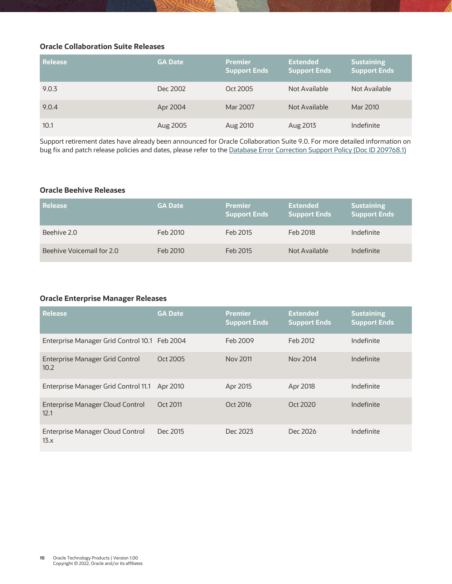#### <span id="page-10-0"></span>**Oracle Collaboration Suite Releases**

| Release | <b>GA Date</b> | <b>Premier</b><br><b>Support Ends</b> | <b>Extended</b><br><b>Support Ends</b> | <b>Sustaining</b><br><b>Support Ends</b> |
|---------|----------------|---------------------------------------|----------------------------------------|------------------------------------------|
| 9.0.3   | Dec 2002       | Oct 2005                              | Not Available                          | Not Available                            |
| 9.0.4   | Apr 2004       | Mar 2007                              | Not Available                          | Mar 2010                                 |
| 10.1    | Aug 2005       | Aug 2010                              | Aug 2013                               | Indefinite                               |

Support retirement dates have already been announced for Oracle Collaboration Suite 9.0. For more detailed information on bug fix and patch release policies and dates, please refer to th[e Database Error Correction Support Policy \(Doc ID 209768.1\)](https://support.oracle.com/rs?type=doc&id=209768.1)

#### <span id="page-10-1"></span>**Oracle Beehive Releases**

| l Release                 | <b>GA Date</b> | <b>Premier</b><br>Support Ends | <b>Extended</b><br><b>Support Ends</b> | <b>Sustaining</b><br><b>Support Ends</b> |
|---------------------------|----------------|--------------------------------|----------------------------------------|------------------------------------------|
| Beehive 2.0               | Feb 2010       | Feb 2015                       | Feb 2018                               | Indefinite                               |
| Beehive Voicemail for 2.0 | Feb 2010       | Feb 2015                       | Not Available                          | Indefinite                               |

#### <span id="page-10-2"></span>**Oracle Enterprise Manager Releases**

| <b>Release</b>                                | <b>GA Date</b> | <b>Premier</b><br><b>Support Ends</b> | <b>Extended</b><br><b>Support Ends</b> | <b>Sustaining</b><br><b>Support Ends</b> |
|-----------------------------------------------|----------------|---------------------------------------|----------------------------------------|------------------------------------------|
| Enterprise Manager Grid Control 10.1 Feb 2004 |                | Feb 2009                              | Feb 2012                               | Indefinite                               |
| Enterprise Manager Grid Control<br>10.2       | Oct 2005       | Nov 2011                              | Nov 2014                               | Indefinite                               |
| Enterprise Manager Grid Control 11.1          | Apr 2010       | Apr 2015                              | Apr 2018                               | Indefinite                               |
| Enterprise Manager Cloud Control<br>12.1      | Oct 2011       | Oct 2016                              | Oct 2020                               | Indefinite                               |
| Enterprise Manager Cloud Control<br>13.x      | Dec 2015       | Dec 2023                              | Dec 2026                               | Indefinite                               |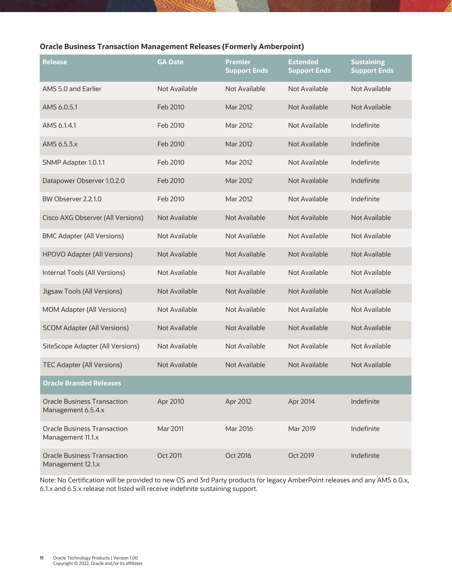## <span id="page-11-0"></span>**Oracle Business Transaction Management Releases (Formerly Amberpoint)**

| Release                                                  | <b>GA Date</b> | <b>Premier</b><br><b>Support Ends</b> | <b>Extended</b><br><b>Support Ends</b> | <b>Sustaining</b><br><b>Support Ends</b> |
|----------------------------------------------------------|----------------|---------------------------------------|----------------------------------------|------------------------------------------|
| AMS 5.0 and Earlier                                      | Not Available  | Not Available                         | Not Available                          | Not Available                            |
| AMS 6.0.5.1                                              | Feb 2010       | Mar 2012                              | Not Available                          | Not Available                            |
| AMS 6.1.4.1                                              | Feb 2010       | Mar 2012                              | Not Available                          | Indefinite                               |
| AMS 6.5.3.x                                              | Feb 2010       | Mar 2012                              | <b>Not Available</b>                   | Indefinite                               |
| SNMP Adapter 1.0.1.1                                     | Feb 2010       | Mar 2012                              | Not Available                          | Indefinite                               |
| Datapower Observer 1.0.2.0                               | Feb 2010       | Mar 2012                              | Not Available                          | Indefinite                               |
| BW Observer 2.2.1.0                                      | Feb 2010       | Mar 2012                              | Not Available                          | Indefinite                               |
| Cisco AXG Observer (All Versions)                        | Not Available  | Not Available                         | Not Available                          | Not Available                            |
| <b>BMC Adapter (All Versions)</b>                        | Not Available  | Not Available                         | Not Available                          | Not Available                            |
| <b>HPOVO Adapter (All Versions)</b>                      | Not Available  | Not Available                         | Not Available                          | Not Available                            |
| Internal Tools (All Versions)                            | Not Available  | Not Available                         | Not Available                          | Not Available                            |
| Jigsaw Tools (All Versions)                              | Not Available  | Not Available                         | <b>Not Available</b>                   | <b>Not Available</b>                     |
| <b>MOM Adapter (All Versions)</b>                        | Not Available  | Not Available                         | Not Available                          | Not Available                            |
| <b>SCOM Adapter (All Versions)</b>                       | Not Available  | Not Available                         | <b>Not Available</b>                   | Not Available                            |
| SiteScope Adapter (All Versions)                         | Not Available  | Not Available                         | Not Available                          | <b>Not Available</b>                     |
| <b>TEC Adapter (All Versions)</b>                        | Not Available  | <b>Not Available</b>                  | <b>Not Available</b>                   | <b>Not Available</b>                     |
| <b>Oracle Branded Releases</b>                           |                |                                       |                                        |                                          |
| <b>Oracle Business Transaction</b><br>Management 6.5.4.x | Apr 2010       | Apr 2012                              | Apr 2014                               | Indefinite                               |
| <b>Oracle Business Transaction</b><br>Management 11.1.x  | Mar 2011       | Mar 2016                              | Mar 2019                               | Indefinite                               |
| <b>Oracle Business Transaction</b><br>Management 12.1.x  | Oct 2011       | Oct 2016                              | Oct 2019                               | Indefinite                               |

Note: No Certification will be provided to new OS and 3rd Party products for legacy AmberPoint releases and any AMS 6.0.x, 6.1.x and 6.5.x release not listed will receive indefinite sustaining support.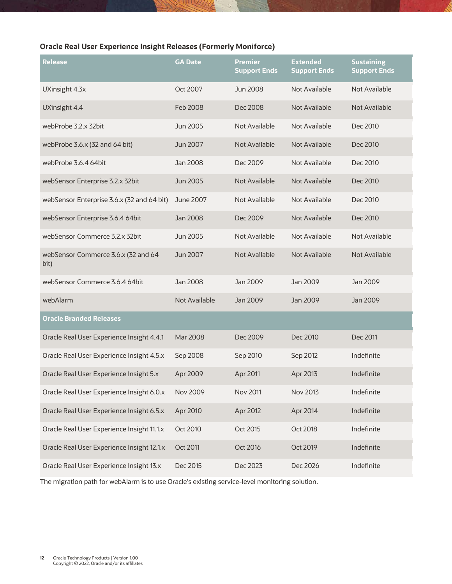## <span id="page-12-0"></span>**Oracle Real User Experience Insight Releases (Formerly Moniforce)**

| <b>Release</b>                              | <b>GA Date</b>  | <b>Premier</b><br><b>Support Ends</b> | <b>Extended</b><br><b>Support Ends</b> | <b>Sustaining</b><br><b>Support Ends</b> |
|---------------------------------------------|-----------------|---------------------------------------|----------------------------------------|------------------------------------------|
| UXinsight 4.3x                              | Oct 2007        | Jun 2008                              | Not Available                          | Not Available                            |
| UXinsight 4.4                               | Feb 2008        | Dec 2008                              | Not Available                          | <b>Not Available</b>                     |
| webProbe 3.2.x 32bit                        | Jun 2005        | Not Available                         | Not Available                          | Dec 2010                                 |
| webProbe 3.6.x (32 and 64 bit)              | Jun 2007        | Not Available                         | <b>Not Available</b>                   | Dec 2010                                 |
| webProbe 3.6.4 64bit                        | Jan 2008        | Dec 2009                              | Not Available                          | Dec 2010                                 |
| webSensor Enterprise 3.2.x 32bit            | Jun 2005        | <b>Not Available</b>                  | Not Available                          | Dec 2010                                 |
| webSensor Enterprise 3.6.x (32 and 64 bit)  | June 2007       | Not Available                         | Not Available                          | Dec 2010                                 |
| webSensor Enterprise 3.6.4 64bit            | Jan 2008        | Dec 2009                              | Not Available                          | Dec 2010                                 |
| webSensor Commerce 3.2.x 32bit              | Jun 2005        | Not Available                         | Not Available                          | Not Available                            |
| webSensor Commerce 3.6.x (32 and 64<br>bit) | Jun 2007        | Not Available                         | Not Available                          | <b>Not Available</b>                     |
| webSensor Commerce 3.6.4 64bit              | Jan 2008        | Jan 2009                              | Jan 2009                               | Jan 2009                                 |
| webAlarm                                    | Not Available   | Jan 2009                              | Jan 2009                               | Jan 2009                                 |
| <b>Oracle Branded Releases</b>              |                 |                                       |                                        |                                          |
| Oracle Real User Experience Insight 4.4.1   | Mar 2008        | Dec 2009                              | Dec 2010                               | Dec 2011                                 |
| Oracle Real User Experience Insight 4.5.x   | Sep 2008        | Sep 2010                              | Sep 2012                               | Indefinite                               |
| Oracle Real User Experience Insight 5.x     | Apr 2009        | Apr 2011                              | Apr 2013                               | Indefinite                               |
| Oracle Real User Experience Insight 6.0.x   | <b>Nov 2009</b> | <b>Nov 2011</b>                       | Nov 2013                               | Indefinite                               |
| Oracle Real User Experience Insight 6.5.x   | Apr 2010        | Apr 2012                              | Apr 2014                               | Indefinite                               |
| Oracle Real User Experience Insight 11.1.x  | Oct 2010        | Oct 2015                              | Oct 2018                               | Indefinite                               |
| Oracle Real User Experience Insight 12.1.x  | Oct 2011        | Oct 2016                              | Oct 2019                               | Indefinite                               |
| Oracle Real User Experience Insight 13.x    | Dec 2015        | Dec 2023                              | Dec 2026                               | Indefinite                               |

The migration path for webAlarm is to use Oracle's existing service-level monitoring solution.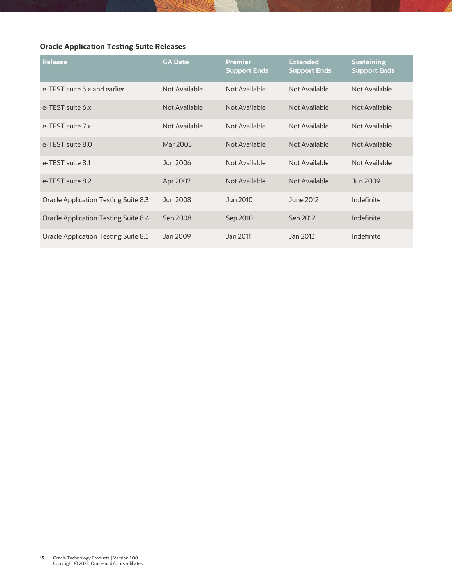## <span id="page-13-0"></span>**Oracle Application Testing Suite Releases**

| Release                                     | <b>GA Date</b> | <b>Premier</b><br><b>Support Ends</b> | <b>Extended</b><br><b>Support Ends</b> | <b>Sustaining</b><br><b>Support Ends</b> |
|---------------------------------------------|----------------|---------------------------------------|----------------------------------------|------------------------------------------|
| e-TEST suite 5.x and earlier                | Not Available  | Not Available                         | Not Available                          | Not Available                            |
| e-TEST suite 6.x                            | Not Available  | Not Available                         | Not Available                          | Not Available                            |
| e-TFST suite 7.x                            | Not Available  | Not Available                         | Not Available                          | Not Available                            |
| e-TEST suite 8.0                            | Mar 2005       | Not Available                         | Not Available                          | Not Available                            |
| e-TEST suite 8.1                            | Jun 2006       | Not Available                         | Not Available                          | Not Available                            |
| e-TEST suite 8.2                            | Apr 2007       | Not Available                         | Not Available                          | Jun 2009                                 |
| Oracle Application Testing Suite 8.3        | Jun 2008       | Jun 2010                              | June 2012                              | Indefinite                               |
| <b>Oracle Application Testing Suite 8.4</b> | Sep 2008       | Sep 2010                              | Sep 2012                               | Indefinite                               |
| <b>Oracle Application Testing Suite 8.5</b> | Jan 2009       | Jan 2011                              | Jan 2013                               | Indefinite                               |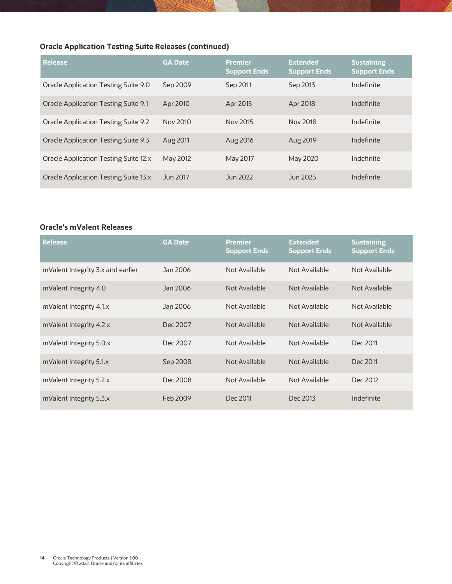## **Oracle Application Testing Suite Releases (continued)**

| <b>Release</b>                               | <b>GA Date</b> | <b>Premier</b><br><b>Support Ends</b> | <b>Extended</b><br><b>Support Ends</b> | <b>Sustaining</b><br><b>Support Ends</b> |
|----------------------------------------------|----------------|---------------------------------------|----------------------------------------|------------------------------------------|
| <b>Oracle Application Testing Suite 9.0</b>  | Sep 2009       | Sep 2011                              | Sep 2013                               | Indefinite                               |
| <b>Oracle Application Testing Suite 9.1</b>  | Apr 2010       | Apr 2015                              | Apr 2018                               | Indefinite                               |
| <b>Oracle Application Testing Suite 9.2</b>  | Nov 2010       | Nov 2015                              | Nov 2018                               | Indefinite                               |
| <b>Oracle Application Testing Suite 9.3</b>  | Aug 2011       | Aug 2016                              | Aug 2019                               | Indefinite                               |
| <b>Oracle Application Testing Suite 12.x</b> | May 2012       | May 2017                              | May 2020                               | Indefinite                               |
| Oracle Application Testing Suite 13.x        | Jun 2017       | Jun 2022                              | Jun 2025                               | Indefinite                               |

#### <span id="page-14-0"></span>**Oracle's mValent Releases**

| Release                           | <b>GA Date</b> | <b>Premier</b><br><b>Support Ends</b> | <b>Extended</b><br><b>Support Ends</b> | <b>Sustaining</b><br><b>Support Ends</b> |
|-----------------------------------|----------------|---------------------------------------|----------------------------------------|------------------------------------------|
| mValent Integrity 3.x and earlier | Jan 2006       | Not Available                         | Not Available                          | Not Available                            |
| mValent Integrity 4.0             | Jan 2006       | Not Available                         | Not Available                          | Not Available                            |
| mValent Integrity 4.1.x           | Jan 2006       | Not Available                         | Not Available                          | Not Available                            |
| mValent Integrity 4.2.x           | Dec 2007       | Not Available                         | Not Available                          | Not Available                            |
| mValent Integrity 5.0.x           | Dec 2007       | Not Available                         | Not Available                          | Dec 2011                                 |
| mValent Integrity 5.1.x           | Sep 2008       | Not Available                         | Not Available                          | Dec 2011                                 |
| mValent Integrity 5.2.x           | Dec 2008       | Not Available                         | Not Available                          | Dec 2012                                 |
| mValent Integrity 5.3.x           | Feb 2009       | Dec 2011                              | Dec 2013                               | Indefinite                               |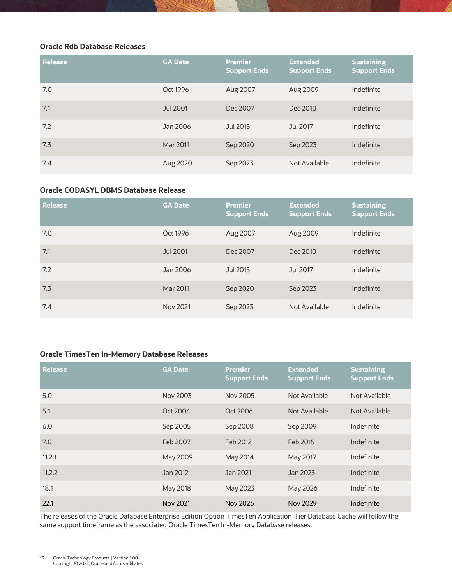#### <span id="page-15-0"></span>**Oracle Rdb Database Releases**

| <b>Release</b> | <b>GA Date</b> | <b>Premier</b><br><b>Support Ends</b> | <b>Extended</b><br><b>Support Ends</b> | <b>Sustaining</b><br><b>Support Ends</b> |
|----------------|----------------|---------------------------------------|----------------------------------------|------------------------------------------|
| 7.0            | Oct 1996       | Aug 2007                              | Aug 2009                               | Indefinite                               |
| 7.1            | Jul 2001       | Dec 2007                              | Dec 2010                               | Indefinite                               |
| 7.2            | Jan 2006       | Jul 2015                              | Jul 2017                               | Indefinite                               |
| 7.3            | Mar 2011       | Sep 2020                              | Sep 2023                               | Indefinite                               |
| 7.4            | Aug 2020       | Sep 2023                              | Not Available                          | Indefinite                               |

#### <span id="page-15-1"></span>**Oracle CODASYL DBMS Database Release**

| <b>Release</b> | <b>GA Date</b> | <b>Premier</b><br><b>Support Ends</b> | <b>Extended</b><br><b>Support Ends</b> | <b>Sustaining</b><br><b>Support Ends</b> |
|----------------|----------------|---------------------------------------|----------------------------------------|------------------------------------------|
| 7.0            | Oct 1996       | Aug 2007                              | Aug 2009                               | Indefinite                               |
| 7.1            | Jul 2001       | Dec 2007                              | Dec 2010                               | Indefinite                               |
| 7.2            | Jan 2006       | Jul 2015                              | Jul 2017                               | Indefinite                               |
| 7.3            | Mar 2011       | Sep 2020                              | Sep 2023                               | Indefinite                               |
| 7.4            | Nov 2021       | Sep 2023                              | Not Available                          | Indefinite                               |

#### <span id="page-15-2"></span>**Oracle TimesTen In-Memory Database Releases**

| <b>Release</b> | <b>GA Date</b> | <b>Premier</b><br><b>Support Ends</b> | <b>Extended</b><br><b>Support Ends</b> | <b>Sustaining</b><br><b>Support Ends</b> |
|----------------|----------------|---------------------------------------|----------------------------------------|------------------------------------------|
| 5.0            | Nov 2003       | Nov 2005                              | Not Available                          | Not Available                            |
| 5.1            | Oct 2004       | Oct 2006                              | Not Available                          | Not Available                            |
| 6.0            | Sep 2005       | Sep 2008                              | Sep 2009                               | Indefinite                               |
| 7.0            | Feb 2007       | Feb 2012                              | Feb 2015                               | Indefinite                               |
| 11.2.1         | May 2009       | May 2014                              | May 2017                               | Indefinite                               |
| 11.2.2         | Jan 2012       | Jan 2021                              | Jan 2023                               | Indefinite                               |
| 18.1           | May 2018       | May 2023                              | May 2026                               | Indefinite                               |
| 22.1           | Nov 2021       | Nov 2026                              | Nov 2029                               | Indefinite                               |

The releases of the Oracle Database Enterprise Edition Option TimesTen Application-Tier Database Cache will follow the same support timeframe as the associated Oracle TimesTen In-Memory Database releases.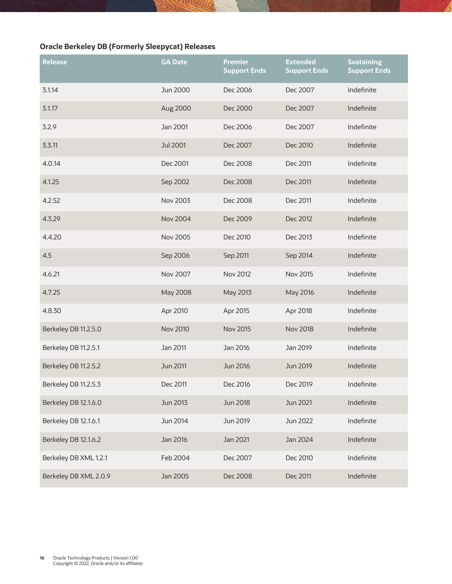## <span id="page-16-0"></span>**Oracle Berkeley DB (Formerly Sleepycat) Releases**

| Release               | <b>GA Date</b>  | <b>Premier</b><br><b>Support Ends</b> | <b>Extended</b><br><b>Support Ends</b> | <b>Sustaining</b><br><b>Support Ends</b> |
|-----------------------|-----------------|---------------------------------------|----------------------------------------|------------------------------------------|
| 3.1.14                | <b>Jun 2000</b> | Dec 2006                              | Dec 2007                               | Indefinite                               |
| 3.1.17                | Aug 2000        | Dec 2000                              | Dec 2007                               | Indefinite                               |
| 3.2.9                 | Jan 2001        | Dec 2006                              | Dec 2007                               | Indefinite                               |
| 3.3.11                | <b>Jul 2001</b> | Dec 2007                              | Dec 2010                               | Indefinite                               |
| 4.0.14                | Dec 2001        | Dec 2008                              | Dec 2011                               | Indefinite                               |
| 4.1.25                | Sep 2002        | Dec 2008                              | Dec 2011                               | Indefinite                               |
| 4.2.52                | <b>Nov 2003</b> | Dec 2008                              | Dec 2011                               | Indefinite                               |
| 4.3.29                | <b>Nov 2004</b> | Dec 2009                              | Dec 2012                               | Indefinite                               |
| 4.4.20                | <b>Nov 2005</b> | Dec 2010                              | Dec 2013                               | Indefinite                               |
| 4.5                   | Sep 2006        | Sep 2011                              | Sep 2014                               | Indefinite                               |
| 4.6.21                | <b>Nov 2007</b> | <b>Nov 2012</b>                       | Nov 2015                               | Indefinite                               |
| 4.7.25                | May 2008        | May 2013                              | May 2016                               | Indefinite                               |
| 4.8.30                | Apr 2010        | Apr 2015                              | Apr 2018                               | Indefinite                               |
| Berkeley DB 11.2.5.0  | <b>Nov 2010</b> | <b>Nov 2015</b>                       | <b>Nov 2018</b>                        | Indefinite                               |
| Berkeley DB 11.2.5.1  | Jan 2011        | Jan 2016                              | Jan 2019                               | Indefinite                               |
| Berkeley DB 11.2.5.2  | <b>Jun 2011</b> | Jun 2016                              | Jun 2019                               | Indefinite                               |
| Berkeley DB 11.2.5.3  | Dec 2011        | Dec 2016                              | Dec 2019                               | Indefinite                               |
| Berkeley DB 12.1.6.0  | <b>Jun 2013</b> | Jun 2018                              | Jun 2021                               | Indefinite                               |
| Berkeley DB 12.1.6.1  | Jun 2014        | Jun 2019                              | Jun 2022                               | Indefinite                               |
| Berkeley DB 12.1.6.2  | Jan 2016        | Jan 2021                              | Jan 2024                               | Indefinite                               |
| Berkeley DB XML 1.2.1 | Feb 2004        | Dec 2007                              | Dec 2010                               | Indefinite                               |
| Berkeley DB XML 2.0.9 | Jan 2005        | Dec 2008                              | Dec 2011                               | Indefinite                               |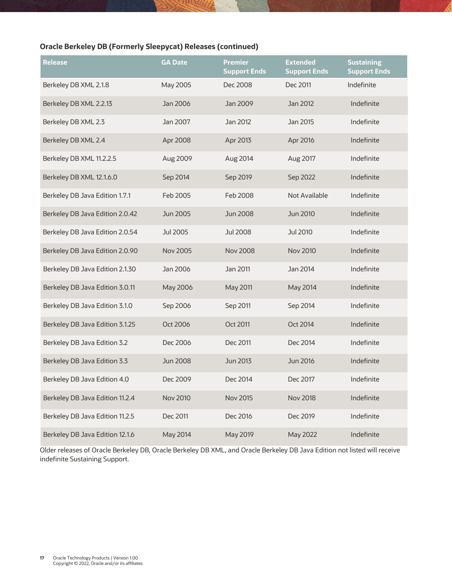## **Oracle Berkeley DB (Formerly Sleepycat) Releases (continued)**

| Release                         | <b>GA Date</b>  | <b>Premier</b><br><b>Support Ends</b> | <b>Extended</b><br><b>Support Ends</b> | <b>Sustaining</b><br><b>Support Ends</b> |
|---------------------------------|-----------------|---------------------------------------|----------------------------------------|------------------------------------------|
| Berkeley DB XML 2.1.8           | May 2005        | Dec 2008                              | Dec 2011                               | Indefinite                               |
| Berkeley DB XML 2.2.13          | Jan 2006        | Jan 2009                              | Jan 2012                               | Indefinite                               |
| Berkeley DB XML 2.3             | Jan 2007        | Jan 2012                              | Jan 2015                               | Indefinite                               |
| Berkeley DB XML 2.4             | Apr 2008        | Apr 2013                              | Apr 2016                               | Indefinite                               |
| Berkeley DB XML 11.2.2.5        | Aug 2009        | Aug 2014                              | Aug 2017                               | Indefinite                               |
| Berkeley DB XML 12.1.6.0        | Sep 2014        | Sep 2019                              | Sep 2022                               | Indefinite                               |
| Berkeley DB Java Edition 1.7.1  | Feb 2005        | Feb 2008                              | Not Available                          | Indefinite                               |
| Berkeley DB Java Edition 2.0.42 | Jun 2005        | <b>Jun 2008</b>                       | Jun 2010                               | Indefinite                               |
| Berkeley DB Java Edition 2.0.54 | Jul 2005        | <b>Jul 2008</b>                       | Jul 2010                               | Indefinite                               |
| Berkeley DB Java Edition 2.0.90 | <b>Nov 2005</b> | <b>Nov 2008</b>                       | <b>Nov 2010</b>                        | Indefinite                               |
| Berkeley DB Java Edition 2.1.30 | Jan 2006        | Jan 2011                              | Jan 2014                               | Indefinite                               |
| Berkeley DB Java Edition 3.0.11 | May 2006        | <b>May 2011</b>                       | May 2014                               | Indefinite                               |
| Berkeley DB Java Edition 3.1.0  | Sep 2006        | Sep 2011                              | Sep 2014                               | Indefinite                               |
| Berkeley DB Java Edition 3.1.25 | Oct 2006        | Oct 2011                              | Oct 2014                               | Indefinite                               |
| Berkeley DB Java Edition 3.2    | Dec 2006        | Dec 2011                              | Dec 2014                               | Indefinite                               |
| Berkeley DB Java Edition 3.3    | <b>Jun 2008</b> | Jun 2013                              | Jun 2016                               | Indefinite                               |
| Berkeley DB Java Edition 4.0    | Dec 2009        | Dec 2014                              | Dec 2017                               | Indefinite                               |
| Berkeley DB Java Edition 11.2.4 | <b>Nov 2010</b> | <b>Nov 2015</b>                       | <b>Nov 2018</b>                        | Indefinite                               |
| Berkeley DB Java Edition 11.2.5 | Dec 2011        | Dec 2016                              | Dec 2019                               | Indefinite                               |
| Berkeley DB Java Edition 12.1.6 | May 2014        | May 2019                              | May 2022                               | Indefinite                               |

Older releases of Oracle Berkeley DB, Oracle Berkeley DB XML, and Oracle Berkeley DB Java Edition not listed will receive indefinite Sustaining Support.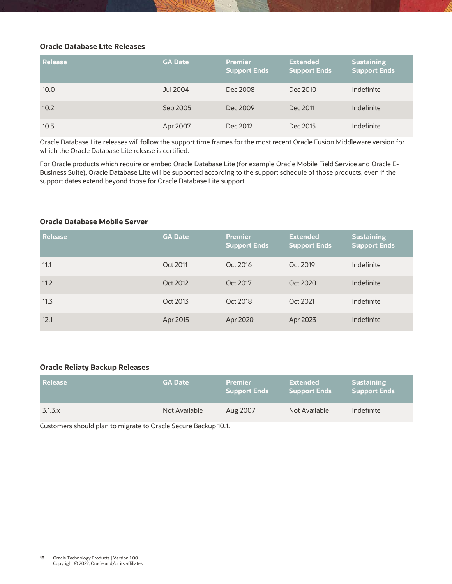#### <span id="page-18-0"></span>**Oracle Database Lite Releases**

| Release | <b>GA Date</b> | <b>Premier</b><br>Support Ends | <b>Extended</b><br>Support Ends | <b>Sustaining</b><br><b>Support Ends</b> |
|---------|----------------|--------------------------------|---------------------------------|------------------------------------------|
| 10.0    | Jul 2004       | Dec 2008                       | Dec 2010                        | Indefinite                               |
| 10.2    | Sep 2005       | Dec 2009                       | Dec 2011                        | Indefinite                               |
| 10.3    | Apr 2007       | Dec 2012                       | Dec 2015                        | Indefinite                               |

Oracle Database Lite releases will follow the support time frames for the most recent Oracle Fusion Middleware version for which the Oracle Database Lite release is certified.

For Oracle products which require or embed Oracle Database Lite (for example Oracle Mobile Field Service and Oracle E-Business Suite), Oracle Database Lite will be supported according to the support schedule of those products, even if the support dates extend beyond those for Oracle Database Lite support.

#### <span id="page-18-1"></span>**Oracle Database Mobile Server**

| <b>Release</b> | <b>GA Date</b> | <b>Premier</b><br><b>Support Ends</b> | <b>Extended</b><br><b>Support Ends</b> | <b>Sustaining</b><br><b>Support Ends</b> |
|----------------|----------------|---------------------------------------|----------------------------------------|------------------------------------------|
| 11.1           | Oct 2011       | Oct 2016                              | Oct 2019                               | Indefinite                               |
| 11.2           | Oct 2012       | Oct 2017                              | Oct 2020                               | Indefinite                               |
| 11.3           | Oct 2013       | Oct 2018                              | Oct 2021                               | Indefinite                               |
| 12.1           | Apr 2015       | Apr 2020                              | Apr 2023                               | Indefinite                               |

#### <span id="page-18-2"></span>**Oracle Reliaty Backup Releases**

| Release        | <b>GA Date</b> | <b>Premier</b><br><b>Support Ends</b> | Extended<br>Support Ends | <b>Sustaining</b><br><b>Support Ends</b> |
|----------------|----------------|---------------------------------------|--------------------------|------------------------------------------|
| $3.1.3 \times$ | Not Available  | Aug 2007                              | Not Available            | Indefinite                               |

Customers should plan to migrate to Oracle Secure Backup 10.1.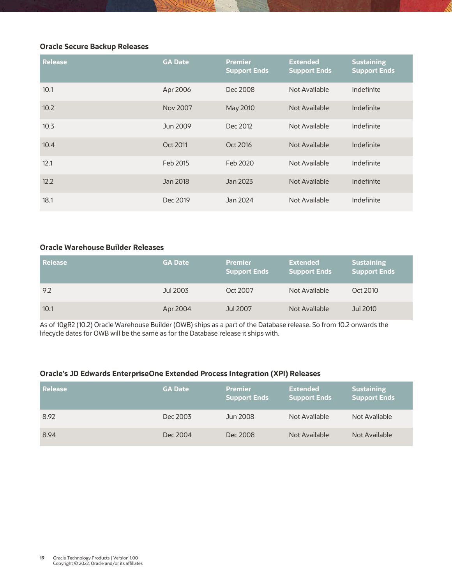#### <span id="page-19-0"></span>**Oracle Secure Backup Releases**

| <b>Release</b> | <b>GA Date</b> | <b>Premier</b><br><b>Support Ends</b> | <b>Extended</b><br><b>Support Ends</b> | <b>Sustaining</b><br><b>Support Ends</b> |
|----------------|----------------|---------------------------------------|----------------------------------------|------------------------------------------|
| 10.1           | Apr 2006       | Dec 2008                              | Not Available                          | Indefinite                               |
| 10.2           | Nov 2007       | May 2010                              | Not Available                          | Indefinite                               |
| 10.3           | Jun 2009       | Dec 2012                              | Not Available                          | Indefinite                               |
| 10.4           | Oct 2011       | Oct 2016                              | Not Available                          | Indefinite                               |
| 12.1           | Feb 2015       | Feb 2020                              | Not Available                          | Indefinite                               |
| 12.2           | Jan 2018       | Jan 2023                              | Not Available                          | Indefinite                               |
| 18.1           | Dec 2019       | Jan 2024                              | Not Available                          | Indefinite                               |

#### <span id="page-19-1"></span>**Oracle Warehouse Builder Releases**

| Release | <b>GA Date</b> | <b>Premier</b><br><b>Support Ends</b> | <b>Extended</b><br><b>Support Ends</b> | <b>Sustaining</b><br><b>Support Ends</b> |
|---------|----------------|---------------------------------------|----------------------------------------|------------------------------------------|
| 9.2     | Jul 2003       | Oct 2007                              | Not Available                          | Oct 2010                                 |
| 10.1    | Apr 2004       | Jul 2007                              | Not Available                          | Jul 2010                                 |

As of 10gR2 (10.2) Oracle Warehouse Builder (OWB) ships as a part of the Database release. So from 10.2 onwards the lifecycle dates for OWB will be the same as for the Database release it ships with.

#### <span id="page-19-2"></span>**Oracle's JD Edwards EnterpriseOne Extended Process Integration (XPI) Releases**

| Release | <b>GA Date</b> | <b>Premier</b><br><b>Support Ends</b> | <b>Extended</b><br><b>Support Ends</b> | <b>Sustaining</b><br><b>Support Ends</b> |
|---------|----------------|---------------------------------------|----------------------------------------|------------------------------------------|
| 8.92    | Dec 2003       | Jun 2008                              | Not Available                          | Not Available                            |
| 8.94    | Dec 2004       | Dec 2008                              | Not Available                          | Not Available                            |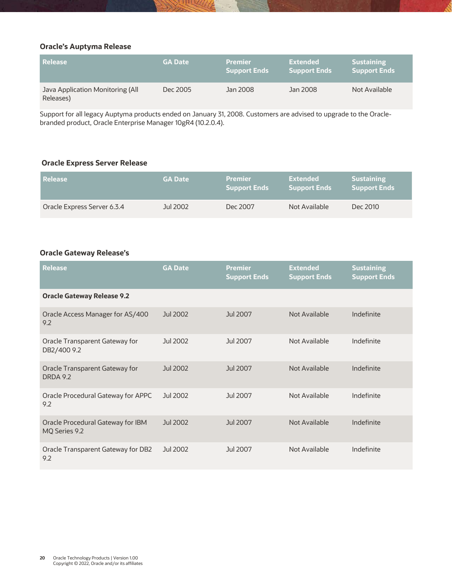#### <span id="page-20-0"></span>**Oracle's Auptyma Release**

| l Release                                     | <b>GA Date</b> | <b>Premier</b><br><b>Support Ends</b> | Extended<br><b>Support Ends</b> | <b>Sustaining</b><br><b>Support Ends</b> |
|-----------------------------------------------|----------------|---------------------------------------|---------------------------------|------------------------------------------|
| Java Application Monitoring (All<br>Releases) | Dec 2005       | Jan 2008                              | Jan 2008                        | Not Available                            |

Support for all legacy Auptyma products ended on January 31, 2008. Customers are advised to upgrade to the Oraclebranded product, Oracle Enterprise Manager 10gR4 (10.2.0.4).

#### <span id="page-20-1"></span>**Oracle Express Server Release**

| l Release                   | <b>GA Date</b> | <b>Premier</b><br><b>Support Ends</b> | Extended<br><b>Support Ends</b> | <b>Sustaining</b><br><b>Support Ends</b> |
|-----------------------------|----------------|---------------------------------------|---------------------------------|------------------------------------------|
| Oracle Express Server 6.3.4 | Jul 2002       | Dec 2007                              | Not Available                   | Dec 2010                                 |

#### <span id="page-20-2"></span>**Oracle Gateway Release's**

| <b>Release</b>                                     | <b>GA Date</b> | <b>Premier</b><br><b>Support Ends</b> | <b>Extended</b><br><b>Support Ends</b> | <b>Sustaining</b><br><b>Support Ends</b> |
|----------------------------------------------------|----------------|---------------------------------------|----------------------------------------|------------------------------------------|
| <b>Oracle Gateway Release 9.2</b>                  |                |                                       |                                        |                                          |
| Oracle Access Manager for AS/400<br>9.2            | Jul 2002       | Jul 2007                              | Not Available                          | Indefinite                               |
| Oracle Transparent Gateway for<br>DB2/400 9.2      | Jul 2002       | Jul 2007                              | Not Available                          | Indefinite                               |
| Oracle Transparent Gateway for<br><b>DRDA 9.2</b>  | Jul 2002       | Jul 2007                              | Not Available                          | Indefinite                               |
| Oracle Procedural Gateway for APPC<br>9.2          | Jul 2002       | Jul 2007                              | Not Available                          | Indefinite                               |
| Oracle Procedural Gateway for IBM<br>MO Series 9.2 | Jul 2002       | Jul 2007                              | Not Available                          | Indefinite                               |
| Oracle Transparent Gateway for DB2<br>9.2          | Jul 2002       | Jul 2007                              | Not Available                          | Indefinite                               |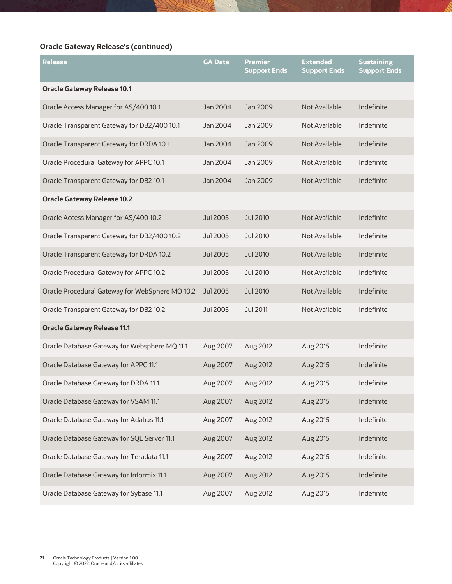## **Oracle Gateway Release's (continued)**

| Release                                         | <b>GA Date</b>  | <b>Premier</b><br><b>Support Ends</b> | <b>Extended</b><br><b>Support Ends</b> | <b>Sustaining</b><br><b>Support Ends</b> |
|-------------------------------------------------|-----------------|---------------------------------------|----------------------------------------|------------------------------------------|
| <b>Oracle Gateway Release 10.1</b>              |                 |                                       |                                        |                                          |
| Oracle Access Manager for AS/400 10.1           | Jan 2004        | Jan 2009                              | Not Available                          | Indefinite                               |
| Oracle Transparent Gateway for DB2/400 10.1     | Jan 2004        | Jan 2009                              | Not Available                          | Indefinite                               |
| Oracle Transparent Gateway for DRDA 10.1        | Jan 2004        | Jan 2009                              | Not Available                          | Indefinite                               |
| Oracle Procedural Gateway for APPC 10.1         | Jan 2004        | Jan 2009                              | Not Available                          | Indefinite                               |
| Oracle Transparent Gateway for DB2 10.1         | Jan 2004        | Jan 2009                              | Not Available                          | Indefinite                               |
| <b>Oracle Gateway Release 10.2</b>              |                 |                                       |                                        |                                          |
| Oracle Access Manager for AS/400 10.2           | Jul 2005        | Jul 2010                              | Not Available                          | Indefinite                               |
| Oracle Transparent Gateway for DB2/400 10.2     | Jul 2005        | Jul 2010                              | Not Available                          | Indefinite                               |
| Oracle Transparent Gateway for DRDA 10.2        | Jul 2005        | Jul 2010                              | Not Available                          | Indefinite                               |
| Oracle Procedural Gateway for APPC 10.2         | <b>Jul 2005</b> | Jul 2010                              | Not Available                          | Indefinite                               |
| Oracle Procedural Gateway for WebSphere MQ 10.2 | Jul 2005        | Jul 2010                              | Not Available                          | Indefinite                               |
| Oracle Transparent Gateway for DB2 10.2         | Jul 2005        | Jul 2011                              | Not Available                          | Indefinite                               |
| <b>Oracle Gateway Release 11.1</b>              |                 |                                       |                                        |                                          |
| Oracle Database Gateway for Websphere MQ 11.1   | Aug 2007        | Aug 2012                              | Aug 2015                               | Indefinite                               |
| Oracle Database Gateway for APPC 11.1           | Aug 2007        | Aug 2012                              | Aug 2015                               | Indefinite                               |
| Oracle Database Gateway for DRDA 11.1           | Aug 2007        | Aug 2012                              | Aug 2015                               | Indefinite                               |
| Oracle Database Gateway for VSAM 11.1           | Aug 2007        | Aug 2012                              | Aug 2015                               | Indefinite                               |
| Oracle Database Gateway for Adabas 11.1         | Aug 2007        | Aug 2012                              | Aug 2015                               | Indefinite                               |
| Oracle Database Gateway for SQL Server 11.1     | Aug 2007        | Aug 2012                              | Aug 2015                               | Indefinite                               |
| Oracle Database Gateway for Teradata 11.1       | Aug 2007        | Aug 2012                              | Aug 2015                               | Indefinite                               |
| Oracle Database Gateway for Informix 11.1       | Aug 2007        | Aug 2012                              | Aug 2015                               | Indefinite                               |
| Oracle Database Gateway for Sybase 11.1         | Aug 2007        | Aug 2012                              | Aug 2015                               | Indefinite                               |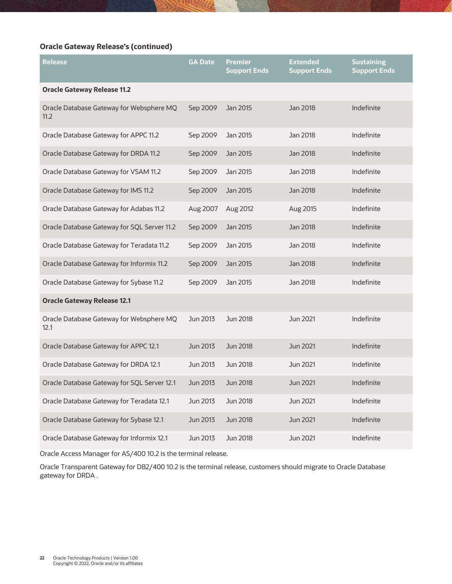## **Oracle Gateway Release's (continued)**

| <b>Release</b>                                   | <b>GA Date</b> | <b>Premier</b><br><b>Support Ends</b> | <b>Extended</b><br><b>Support Ends</b> | <b>Sustaining</b><br><b>Support Ends</b> |
|--------------------------------------------------|----------------|---------------------------------------|----------------------------------------|------------------------------------------|
| <b>Oracle Gateway Release 11.2</b>               |                |                                       |                                        |                                          |
| Oracle Database Gateway for Websphere MQ<br>11.2 | Sep 2009       | Jan 2015                              | Jan 2018                               | Indefinite                               |
| Oracle Database Gateway for APPC 11.2            | Sep 2009       | Jan 2015                              | Jan 2018                               | Indefinite                               |
| Oracle Database Gateway for DRDA 11.2            | Sep 2009       | Jan 2015                              | Jan 2018                               | Indefinite                               |
| Oracle Database Gateway for VSAM 11.2            | Sep 2009       | Jan 2015                              | Jan 2018                               | Indefinite                               |
| Oracle Database Gateway for IMS 11.2             | Sep 2009       | Jan 2015                              | Jan 2018                               | Indefinite                               |
| Oracle Database Gateway for Adabas 11.2          | Aug 2007       | Aug 2012                              | Aug 2015                               | Indefinite                               |
| Oracle Database Gateway for SQL Server 11.2      | Sep 2009       | Jan 2015                              | Jan 2018                               | Indefinite                               |
| Oracle Database Gateway for Teradata 11.2        | Sep 2009       | Jan 2015                              | Jan 2018                               | Indefinite                               |
| Oracle Database Gateway for Informix 11.2        | Sep 2009       | Jan 2015                              | Jan 2018                               | Indefinite                               |
| Oracle Database Gateway for Sybase 11.2          | Sep 2009       | Jan 2015                              | Jan 2018                               | Indefinite                               |
| <b>Oracle Gateway Release 12.1</b>               |                |                                       |                                        |                                          |
| Oracle Database Gateway for Websphere MQ<br>12.1 | Jun 2013       | Jun 2018                              | Jun 2021                               | Indefinite                               |
| Oracle Database Gateway for APPC 12.1            | Jun 2013       | <b>Jun 2018</b>                       | <b>Jun 2021</b>                        | Indefinite                               |
| Oracle Database Gateway for DRDA 12.1            | Jun 2013       | Jun 2018                              | Jun 2021                               | Indefinite                               |
| Oracle Database Gateway for SQL Server 12.1      | Jun 2013       | <b>Jun 2018</b>                       | Jun 2021                               | Indefinite                               |
| Oracle Database Gateway for Teradata 12.1        | Jun 2013       | <b>Jun 2018</b>                       | Jun 2021                               | Indefinite                               |
| Oracle Database Gateway for Sybase 12.1          | Jun 2013       | <b>Jun 2018</b>                       | Jun 2021                               | Indefinite                               |
| Oracle Database Gateway for Informix 12.1        | Jun 2013       | Jun 2018                              | Jun 2021                               | Indefinite                               |

Oracle Access Manager for AS/400 10.2 is the terminal release.

Oracle Transparent Gateway for DB2/400 10.2 is the terminal release, customers should migrate to Oracle Database gateway for DRDA .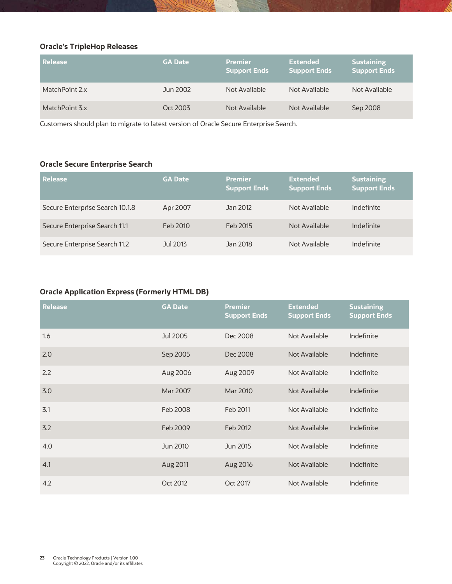## <span id="page-23-0"></span>**Oracle's TripleHop Releases**

| l Release      | <b>GA Date</b> | <b>Premier</b><br><b>Support Ends</b> | <b>Extended</b><br><b>Support Ends</b> | <b>Sustaining</b><br><b>Support Ends</b> |
|----------------|----------------|---------------------------------------|----------------------------------------|------------------------------------------|
| MatchPoint 2.x | Jun 2002       | Not Available                         | Not Available                          | Not Available                            |
| MatchPoint 3.x | Oct 2003       | Not Available                         | Not Available                          | Sep 2008                                 |

Customers should plan to migrate to latest version of Oracle Secure Enterprise Search.

## <span id="page-23-1"></span>**Oracle Secure Enterprise Search**

| Release                         | <b>GA Date</b> | <b>Premier</b><br><b>Support Ends</b> | <b>Extended</b><br><b>Support Ends</b> | <b>Sustaining</b><br><b>Support Ends</b> |
|---------------------------------|----------------|---------------------------------------|----------------------------------------|------------------------------------------|
| Secure Enterprise Search 10.1.8 | Apr 2007       | Jan 2012                              | Not Available                          | Indefinite                               |
| Secure Enterprise Search 11.1   | Feb 2010       | Feb 2015                              | Not Available                          | Indefinite                               |
| Secure Enterprise Search 11.2   | Jul 2013       | Jan 2018                              | Not Available                          | Indefinite                               |

## <span id="page-23-2"></span>**Oracle Application Express (Formerly HTML DB)**

| <b>Release</b> | <b>GA Date</b> | <b>Premier</b><br><b>Support Ends</b> | <b>Extended</b><br><b>Support Ends</b> | <b>Sustaining</b><br><b>Support Ends</b> |
|----------------|----------------|---------------------------------------|----------------------------------------|------------------------------------------|
| 1.6            | Jul 2005       | Dec 2008                              | Not Available                          | Indefinite                               |
| 2.0            | Sep 2005       | Dec 2008                              | Not Available                          | Indefinite                               |
| 2.2            | Aug 2006       | Aug 2009                              | Not Available                          | Indefinite                               |
| 3.0            | Mar 2007       | Mar 2010                              | Not Available                          | Indefinite                               |
| 3.1            | Feb 2008       | Feb 2011                              | Not Available                          | Indefinite                               |
| 3.2            | Feb 2009       | Feb 2012                              | Not Available                          | Indefinite                               |
| 4.0            | Jun 2010       | Jun 2015                              | Not Available                          | Indefinite                               |
| 4.1            | Aug 2011       | Aug 2016                              | Not Available                          | Indefinite                               |
| 4.2            | Oct 2012       | Oct 2017                              | Not Available                          | Indefinite                               |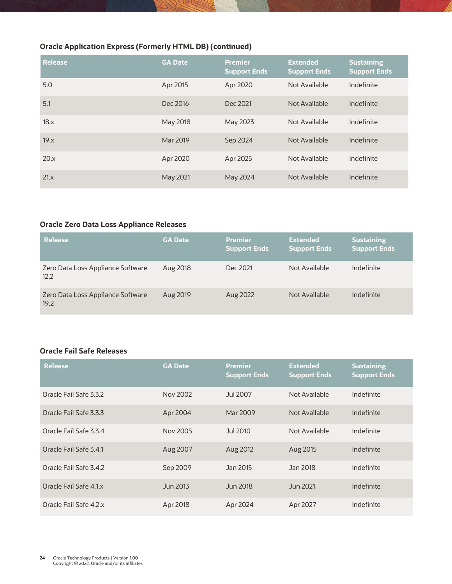## **Oracle Application Express (Formerly HTML DB) (continued)**

| <b>Release</b> | <b>GA Date</b> | <b>Premier</b><br><b>Support Ends</b> | <b>Extended</b><br><b>Support Ends</b> | <b>Sustaining</b><br><b>Support Ends</b> |
|----------------|----------------|---------------------------------------|----------------------------------------|------------------------------------------|
| 5.0            | Apr 2015       | Apr 2020                              | Not Available                          | Indefinite                               |
| 5.1            | Dec 2016       | Dec 2021                              | Not Available                          | Indefinite                               |
| 18.x           | May 2018       | May 2023                              | Not Available                          | Indefinite                               |
| 19.x           | Mar 2019       | Sep 2024                              | Not Available                          | Indefinite                               |
| 20.x           | Apr 2020       | Apr 2025                              | Not Available                          | Indefinite                               |
| 21.x           | May 2021       | May 2024                              | Not Available                          | Indefinite                               |

#### <span id="page-24-0"></span>**Oracle Zero Data Loss Appliance Releases**

| <b>Release</b>                            | <b>GA Date</b> | <b>Premier</b><br><b>Support Ends</b> | <b>Extended</b><br><b>Support Ends</b> | <b>Sustaining</b><br><b>Support Ends</b> |
|-------------------------------------------|----------------|---------------------------------------|----------------------------------------|------------------------------------------|
| Zero Data Loss Appliance Software<br>12.2 | Aug 2018       | Dec 2021                              | Not Available                          | Indefinite                               |
| Zero Data Loss Appliance Software<br>19.2 | Aug 2019       | Aug 2022                              | Not Available                          | Indefinite                               |

#### <span id="page-24-1"></span>**Oracle Fail Safe Releases**

| <b>Release</b>         | <b>GA Date</b> | <b>Premier</b><br><b>Support Ends</b> | <b>Extended</b><br><b>Support Ends</b> | <b>Sustaining</b><br><b>Support Ends</b> |
|------------------------|----------------|---------------------------------------|----------------------------------------|------------------------------------------|
| Oracle Fail Safe 3.3.2 | Nov 2002       | Jul 2007                              | Not Available                          | Indefinite                               |
| Oracle Fail Safe 3.3.3 | Apr 2004       | Mar 2009                              | Not Available                          | Indefinite                               |
| Oracle Fail Safe 3.3.4 | Nov 2005       | Jul 2010                              | Not Available                          | Indefinite                               |
| Oracle Fail Safe 3.4.1 | Aug 2007       | Aug 2012                              | Aug 2015                               | Indefinite                               |
| Oracle Fail Safe 3.4.2 | Sep 2009       | Jan 2015                              | Jan 2018                               | Indefinite                               |
| Oracle Fail Safe 4.1.x | Jun 2013       | Jun 2018                              | Jun 2021                               | Indefinite                               |
| Oracle Fail Safe 4.2.x | Apr 2018       | Apr 2024                              | Apr 2027                               | Indefinite                               |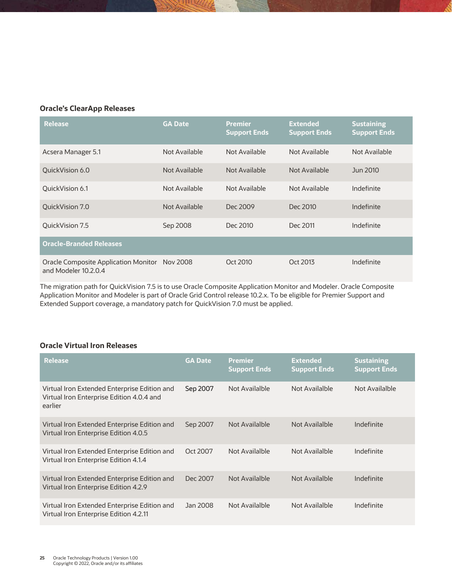#### <span id="page-25-0"></span>**Oracle's ClearApp Releases**

| <b>Release</b>                                               | <b>GA Date</b> | <b>Premier</b><br><b>Support Ends</b> | <b>Extended</b><br><b>Support Ends</b> | <b>Sustaining</b><br><b>Support Ends</b> |
|--------------------------------------------------------------|----------------|---------------------------------------|----------------------------------------|------------------------------------------|
| Acsera Manager 5.1                                           | Not Available  | Not Available                         | Not Available                          | Not Available                            |
| OuickVision 6.0                                              | Not Available  | Not Available                         | Not Available                          | Jun 2010                                 |
| OuickVision 6.1                                              | Not Available  | Not Available                         | Not Available                          | Indefinite                               |
| QuickVision 7.0                                              | Not Available  | Dec 2009                              | Dec 2010                               | Indefinite                               |
| OuickVision 7.5                                              | Sep 2008       | Dec 2010                              | Dec 2011                               | Indefinite                               |
| <b>Oracle-Branded Releases</b>                               |                |                                       |                                        |                                          |
| Oracle Composite Application Monitor<br>and Modeler 10.2.0.4 | Nov 2008       | Oct 2010                              | Oct 2013                               | Indefinite                               |

The migration path for QuickVision 7.5 is to use Oracle Composite Application Monitor and Modeler. Oracle Composite Application Monitor and Modeler is part of Oracle Grid Control release 10.2.x. To be eligible for Premier Support and Extended Support coverage, a mandatory patch for QuickVision 7.0 must be applied.

#### <span id="page-25-1"></span>**Oracle Virtual Iron Releases**

| <b>Release</b>                                                                                       | <b>GA Date</b> | <b>Premier</b><br><b>Support Ends</b> | <b>Extended</b><br><b>Support Ends</b> | <b>Sustaining</b><br><b>Support Ends</b> |
|------------------------------------------------------------------------------------------------------|----------------|---------------------------------------|----------------------------------------|------------------------------------------|
| Virtual Iron Extended Enterprise Edition and<br>Virtual Iron Enterprise Edition 4.0.4 and<br>earlier | Sep 2007       | Not Availalble                        | Not Availalble                         | Not Availalble                           |
| Virtual Iron Extended Enterprise Edition and<br>Virtual Iron Enterprise Edition 4.0.5                | Sep 2007       | Not Availalble                        | Not Availalble                         | Indefinite                               |
| Virtual Iron Extended Enterprise Edition and<br>Virtual Iron Enterprise Edition 4.1.4                | Oct 2007       | Not Availalble                        | Not Availalble                         | Indefinite                               |
| Virtual Iron Extended Enterprise Edition and<br>Virtual Iron Enterprise Edition 4.2.9                | Dec 2007       | Not Availalble                        | Not Availalble                         | Indefinite                               |
| Virtual Iron Extended Enterprise Edition and<br>Virtual Iron Enterprise Edition 4.2.11               | Jan 2008       | Not Availalble                        | Not Availalble                         | Indefinite                               |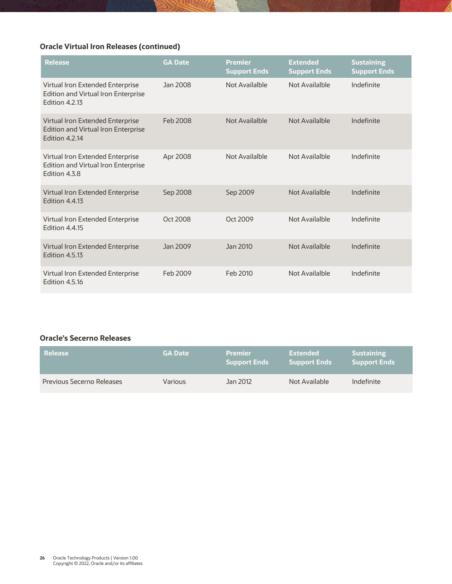## **Oracle Virtual Iron Releases (continued)**

| <b>Release</b>                                                                                   | <b>GA Date</b> | <b>Premier</b><br><b>Support Ends</b> | <b>Extended</b><br><b>Support Ends</b> | <b>Sustaining</b><br><b>Support Ends</b> |
|--------------------------------------------------------------------------------------------------|----------------|---------------------------------------|----------------------------------------|------------------------------------------|
| Virtual Iron Extended Enterprise<br>Edition and Virtual Iron Enterprise<br><b>Edition 4.2.13</b> | Jan 2008       | Not Availalble                        | Not Availalble                         | Indefinite                               |
| Virtual Iron Extended Enterprise<br>Edition and Virtual Iron Enterprise<br><b>Edition 4.2.14</b> | Feb 2008       | Not Availalble                        | Not Availalble                         | Indefinite                               |
| Virtual Iron Extended Enterprise<br>Edition and Virtual Iron Enterprise<br>Edition 4.3.8         | Apr 2008       | Not Availalble                        | Not Availalble                         | Indefinite                               |
| Virtual Iron Extended Enterprise<br><b>Edition 4.4.13</b>                                        | Sep 2008       | Sep 2009                              | <b>Not Availalble</b>                  | Indefinite                               |
| Virtual Iron Extended Enterprise<br><b>Edition 4.4.15</b>                                        | Oct 2008       | Oct 2009                              | Not Availalble                         | Indefinite                               |
| Virtual Iron Extended Enterprise<br><b>Edition 4.5.13</b>                                        | Jan 2009       | Jan 2010                              | Not Availalble                         | Indefinite                               |
| Virtual Iron Extended Enterprise<br>Edition 4.5.16                                               | Feb 2009       | Feb 2010                              | Not Availalble                         | Indefinite                               |

#### <span id="page-26-0"></span>**Oracle's Secerno Releases**

| <b>Release</b>            | <b>GA Date</b> | <b>Premier</b><br><b>Support Ends</b> | Extended<br><b>Support Ends</b> | <b>Sustaining</b><br><b>Support Ends</b> |
|---------------------------|----------------|---------------------------------------|---------------------------------|------------------------------------------|
| Previous Secerno Releases | <b>Various</b> | Jan 2012                              | Not Available                   | Indefinite                               |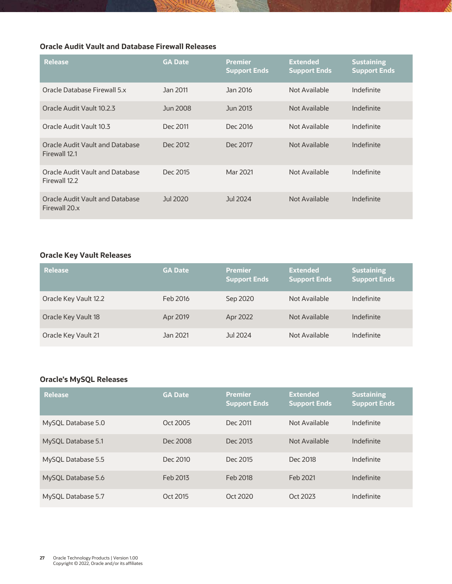## <span id="page-27-0"></span>**Oracle Audit Vault and Database Firewall Releases**

| <b>Release</b>                                   | <b>GA Date</b> | Premier<br><b>Support Ends</b> | <b>Extended</b><br><b>Support Ends</b> | <b>Sustaining</b><br><b>Support Ends</b> |
|--------------------------------------------------|----------------|--------------------------------|----------------------------------------|------------------------------------------|
| Oracle Database Firewall 5.x                     | Jan 2011       | Jan 2016                       | Not Available                          | Indefinite                               |
| Oracle Audit Vault 10.2.3                        | Jun 2008       | Jun 2013                       | Not Available                          | Indefinite                               |
| Oracle Audit Vault 10.3                          | Dec 2011       | Dec 2016                       | Not Available                          | Indefinite                               |
| Oracle Audit Vault and Database<br>Firewall 12.1 | Dec 2012       | Dec 2017                       | Not Available                          | Indefinite                               |
| Oracle Audit Vault and Database<br>Firewall 12.2 | Dec 2015       | Mar 2021                       | Not Available                          | Indefinite                               |
| Oracle Audit Vault and Database<br>Firewall 20.x | Jul 2020       | Jul 2024                       | Not Available                          | Indefinite                               |

#### <span id="page-27-1"></span>**Oracle Key Vault Releases**

| <b>Release</b>        | <b>GA Date</b> | <b>Premier</b><br>  Support Ends <sup> </sup> | <b>Extended</b><br><b>Support Ends</b> | <b>Sustaining</b><br><b>Support Ends</b> |
|-----------------------|----------------|-----------------------------------------------|----------------------------------------|------------------------------------------|
| Oracle Key Vault 12.2 | Feb 2016       | Sep 2020                                      | Not Available                          | Indefinite                               |
| Oracle Key Vault 18   | Apr 2019       | Apr 2022                                      | Not Available                          | Indefinite                               |
| Oracle Key Vault 21   | Jan 2021       | Jul 2024                                      | Not Available                          | Indefinite                               |

## <span id="page-27-2"></span>**Oracle's MySQL Releases**

| <b>Release</b>     | <b>GA Date</b> | <b>Premier</b><br><b>Support Ends</b> | <b>Extended</b><br><b>Support Ends</b> | <b>Sustaining</b><br><b>Support Ends</b> |
|--------------------|----------------|---------------------------------------|----------------------------------------|------------------------------------------|
| MySQL Database 5.0 | Oct 2005       | Dec 2011                              | Not Available                          | Indefinite                               |
| MySQL Database 5.1 | Dec 2008       | Dec 2013                              | Not Available                          | Indefinite                               |
| MySQL Database 5.5 | Dec 2010       | Dec 2015                              | Dec 2018                               | Indefinite                               |
| MySQL Database 5.6 | Feb 2013       | Feb 2018                              | Feb 2021                               | Indefinite                               |
| MySQL Database 5.7 | Oct 2015       | Oct 2020                              | Oct 2023                               | Indefinite                               |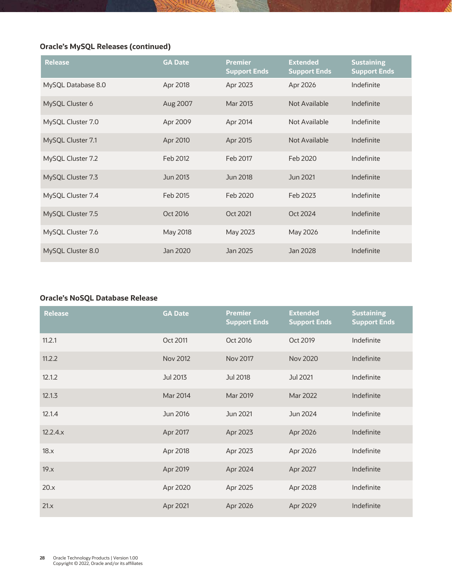## **Oracle's MySQL Releases (continued)**

| <b>Release</b>     | <b>GA Date</b> | <b>Premier</b><br><b>Support Ends</b> | <b>Extended</b><br><b>Support Ends</b> | <b>Sustaining</b><br><b>Support Ends</b> |
|--------------------|----------------|---------------------------------------|----------------------------------------|------------------------------------------|
| MySQL Database 8.0 | Apr 2018       | Apr 2023                              | Apr 2026                               | Indefinite                               |
| MySQL Cluster 6    | Aug 2007       | Mar 2013                              | Not Available                          | Indefinite                               |
| MySQL Cluster 7.0  | Apr 2009       | Apr 2014                              | Not Available                          | Indefinite                               |
| MySQL Cluster 7.1  | Apr 2010       | Apr 2015                              | Not Available                          | Indefinite                               |
| MySQL Cluster 7.2  | Feb 2012       | Feb 2017                              | Feb 2020                               | Indefinite                               |
| MySQL Cluster 7.3  | Jun 2013       | Jun 2018                              | Jun 2021                               | Indefinite                               |
| MySQL Cluster 7.4  | Feb 2015       | Feb 2020                              | Feb 2023                               | Indefinite                               |
| MySQL Cluster 7.5  | Oct 2016       | Oct 2021                              | Oct 2024                               | Indefinite                               |
| MySQL Cluster 7.6  | May 2018       | May 2023                              | May 2026                               | Indefinite                               |
| MySQL Cluster 8.0  | Jan 2020       | Jan 2025                              | Jan 2028                               | Indefinite                               |

## <span id="page-28-0"></span>**Oracle's NoSQL Database Release**

| <b>Release</b> | <b>GA Date</b> | <b>Premier</b><br><b>Support Ends</b> | <b>Extended</b><br><b>Support Ends</b> | <b>Sustaining</b><br><b>Support Ends</b> |
|----------------|----------------|---------------------------------------|----------------------------------------|------------------------------------------|
| 11.2.1         | Oct 2011       | Oct 2016                              | Oct 2019                               | Indefinite                               |
| 11.2.2         | Nov 2012       | Nov 2017                              | <b>Nov 2020</b>                        | Indefinite                               |
| 12.1.2         | Jul 2013       | Jul 2018                              | Jul 2021                               | Indefinite                               |
| 12.1.3         | Mar 2014       | Mar 2019                              | Mar 2022                               | Indefinite                               |
| 12.1.4         | Jun 2016       | Jun 2021                              | Jun 2024                               | Indefinite                               |
| 12.2.4.x       | Apr 2017       | Apr 2023                              | Apr 2026                               | Indefinite                               |
| 18.x           | Apr 2018       | Apr 2023                              | Apr 2026                               | Indefinite                               |
| 19.x           | Apr 2019       | Apr 2024                              | Apr 2027                               | Indefinite                               |
| 20.x           | Apr 2020       | Apr 2025                              | Apr 2028                               | Indefinite                               |
| 21.x           | Apr 2021       | Apr 2026                              | Apr 2029                               | Indefinite                               |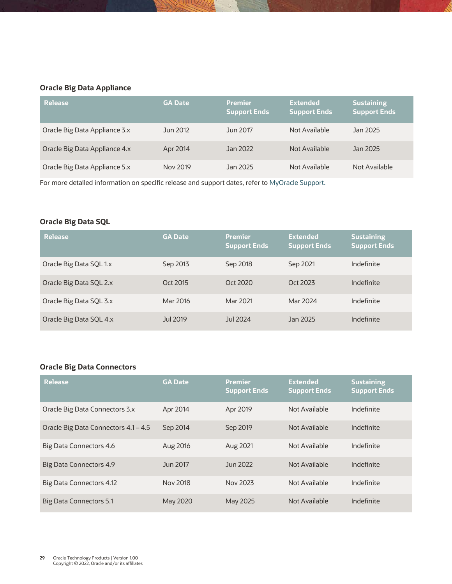## <span id="page-29-0"></span>**Oracle Big Data Appliance**

| <b>Release</b>                | <b>GA Date</b> | <b>Premier</b><br><b>Support Ends</b> | <b>Extended</b><br><b>Support Ends</b> | <b>Sustaining</b><br><b>Support Ends</b> |
|-------------------------------|----------------|---------------------------------------|----------------------------------------|------------------------------------------|
| Oracle Big Data Appliance 3.x | Jun 2012       | Jun 2017                              | Not Available                          | Jan 2025                                 |
| Oracle Big Data Appliance 4.x | Apr 2014       | Jan 2022                              | Not Available                          | Jan 2025                                 |
| Oracle Big Data Appliance 5.x | Nov 2019       | Jan 2025                              | Not Available                          | Not Available                            |

For more detailed information on specific release and support dates, refer to [MyOracle Support.](https://support.oracle.com/portal/)

## <span id="page-29-1"></span>**Oracle Big Data SQL**

| <b>Release</b>          | <b>GA Date</b> | <b>Premier</b><br><b>Support Ends</b> | <b>Extended</b><br><b>Support Ends</b> | <b>Sustaining</b><br><b>Support Ends</b> |
|-------------------------|----------------|---------------------------------------|----------------------------------------|------------------------------------------|
| Oracle Big Data SQL 1.x | Sep 2013       | Sep 2018                              | Sep 2021                               | Indefinite                               |
| Oracle Big Data SQL 2.x | Oct 2015       | Oct 2020                              | Oct 2023                               | Indefinite                               |
| Oracle Big Data SQL 3.x | Mar 2016       | Mar 2021                              | Mar 2024                               | Indefinite                               |
| Oracle Big Data SQL 4.x | Jul 2019       | Jul 2024                              | Jan 2025                               | Indefinite                               |

## <span id="page-29-2"></span>**Oracle Big Data Connectors**

| <b>Release</b>                       | <b>GA Date</b> | <b>Premier</b><br><b>Support Ends</b> | <b>Extended</b><br><b>Support Ends</b> | <b>Sustaining</b><br><b>Support Ends</b> |
|--------------------------------------|----------------|---------------------------------------|----------------------------------------|------------------------------------------|
| Oracle Big Data Connectors 3.x       | Apr 2014       | Apr 2019                              | Not Available                          | Indefinite                               |
| Oracle Big Data Connectors 4.1 - 4.5 | Sep 2014       | Sep 2019                              | Not Available                          | Indefinite                               |
| Big Data Connectors 4.6              | Aug 2016       | Aug 2021                              | Not Available                          | Indefinite                               |
| Big Data Connectors 4.9              | Jun 2017       | Jun 2022                              | Not Available                          | Indefinite                               |
| Big Data Connectors 4.12             | Nov 2018       | Nov 2023                              | Not Available                          | Indefinite                               |
| <b>Big Data Connectors 5.1</b>       | May 2020       | May 2025                              | Not Available                          | Indefinite                               |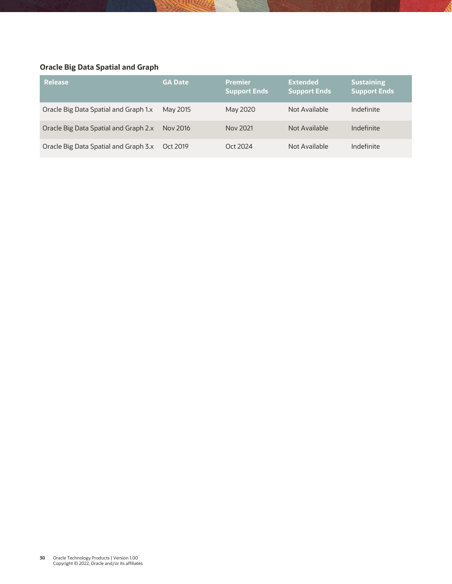## <span id="page-30-0"></span>**Oracle Big Data Spatial and Graph**

| <b>Release</b>                        | <b>GA Date</b> | <b>Premier</b><br><b>Support Ends</b> | <b>Extended</b><br><b>Support Ends</b> | <b>Sustaining</b><br><b>Support Ends</b> |
|---------------------------------------|----------------|---------------------------------------|----------------------------------------|------------------------------------------|
| Oracle Big Data Spatial and Graph 1.x | May 2015       | May 2020                              | Not Available                          | Indefinite                               |
| Oracle Big Data Spatial and Graph 2.x | Nov 2016       | Nov 2021                              | Not Available                          | Indefinite                               |
| Oracle Big Data Spatial and Graph 3.x | Oct 2019       | Oct 2024                              | Not Available                          | Indefinite                               |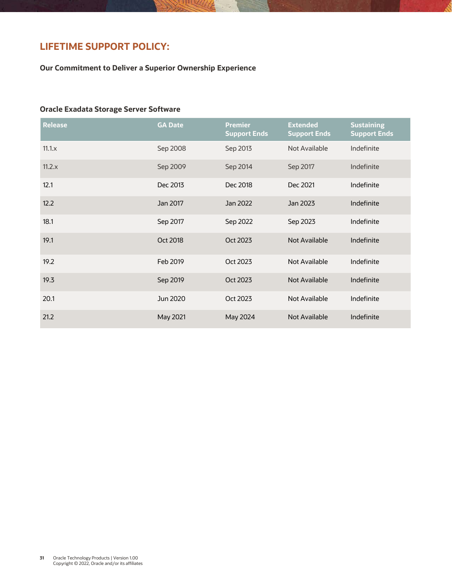## **LIFETIME SUPPORT POLICY:**

**Our Commitment to Deliver a Superior Ownership Experience** 

#### <span id="page-31-0"></span>**Oracle Exadata Storage Server Software**

| <b>Release</b> | <b>GA Date</b> | <b>Premier</b><br><b>Support Ends</b> | <b>Extended</b><br><b>Support Ends</b> | <b>Sustaining</b><br><b>Support Ends</b> |
|----------------|----------------|---------------------------------------|----------------------------------------|------------------------------------------|
| $11.1 \times$  | Sep 2008       | Sep 2013                              | Not Available                          | Indefinite                               |
| 11.2.x         | Sep 2009       | Sep 2014                              | Sep 2017                               | Indefinite                               |
| 12.1           | Dec 2013       | Dec 2018                              | Dec 2021                               | Indefinite                               |
| 12.2           | Jan 2017       | Jan 2022                              | Jan 2023                               | Indefinite                               |
| 18.1           | Sep 2017       | Sep 2022                              | Sep 2023                               | Indefinite                               |
| 19.1           | Oct 2018       | Oct 2023                              | <b>Not Available</b>                   | Indefinite                               |
| 19.2           | Feb 2019       | Oct 2023                              | Not Available                          | Indefinite                               |
| 19.3           | Sep 2019       | Oct 2023                              | <b>Not Available</b>                   | Indefinite                               |
| 20.1           | Jun 2020       | Oct 2023                              | Not Available                          | Indefinite                               |
| 21.2           | May 2021       | May 2024                              | <b>Not Available</b>                   | Indefinite                               |